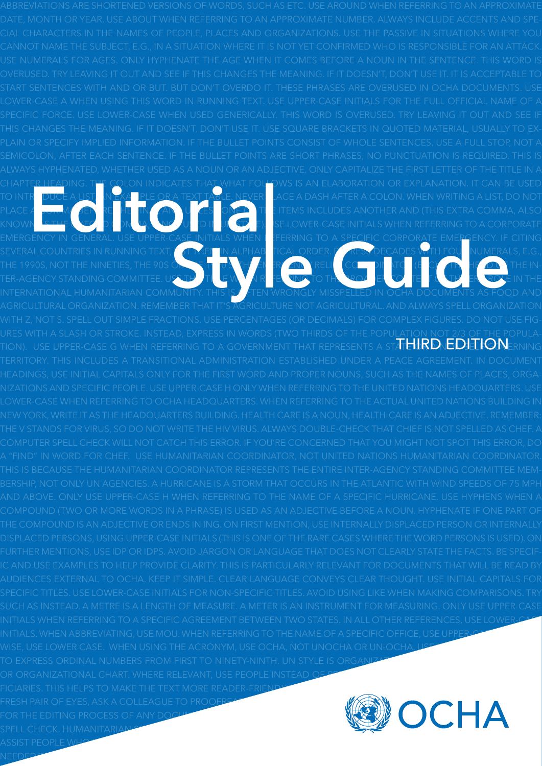chapter heading. The colon indicates that what follows is an elaboration or explanation. It can be used TO INTRODUCE A LIST, AN EXAMPLE OR A TEXT TABLE. NEVER QACE A DASH AFTER A COLON. WHEN WRITING A LIST, DO NOT <code>PLACE A commative</code>  $\begin{array}{c}$   $\begin{array}{c} \bullet \end{array}$   $\begin{array}{c} \bullet \end{array}$   $\begin{array}{c} \bullet \end{array}$   $\begin{array}{c} \bullet \end{array}$   $\begin{array}{c} \bullet \end{array}$   $\begin{array}{c} \bullet \end{array}$   $\begin{array}{c} \bullet \end{array}$   $\begin{array}{c} \bullet \end{array}$   $\begin{array}{c} \bullet \end{array}$   $\begin{array}{c} \bullet \end{array}$   $\begin{array}{c} \bullet \end{array}$   $\begin{$ KNOWN LETTER OF OXICA, INGLUIED IN CTUE). SE LOWER-CASE INITIALS WHEN REFERRING TO A CORPORATE EMERGENCY IN GENERAL. USE UPPER-CA<u>SE I</u>NITIALS WHEN TEFRRING TO A SPECIFIC CORPORATE EMERGENCY. IF CITING SEVERAL COUNTRIES IN RUNNING TEXT, LIST THEM IN ALPHABLICAL ORDER. FURESS DECADES WITH FOUL NUMERALS, E.G., THE 1990S, NOT THE NINETIES, THE 90S ORGINAL THE  $\mathbf{F}$   $\mathbf{F}$  and  $\mathbf{R}$  relief Coordinator (Eq. (Eq. (Eq. (Eq. ) in  $\mathbf{F}$  and  $\mathbf{F}$  the In-TER-AGENCY STANDING COMMITTEE. USE THIS TITLE WAS ARREST WHO TO THE BROADER CONTEXT ROLE IN THE INTERNATIONAL HUMANITARIAN COMMUNITY. THIS IS  $\ell$  ften wrongly misspelled in OCHA documents as Food and ures with a slash or stroke. Instead, express in words (two thirds of the population not 2/3 of the population). Use upper-case G when referring to a Government that represents a stat**e ural alletticun**erning initials when referring to a specific agreement between two States. In all other references, use lower-case INITIALS. WHEN ABBREVIATING, USE MOU. WHEN REFERRING TO THE NAME OF A SPECIFIC OFFICE, USE UPPER-CA wise, use lower case. When using the acronym, use ocha, not unocha or un-ocha, i ise to express ordinal numbers from first to ninety-ninth. UN style is organization chart, not organigramme or organizational chart. Where relevant, use people instead of persons, populations,  $\rho$ FICIARIES. THIS HELPS TO MAKE THE TEXT MORE READER-FRI<u>ENDLY. Always make the to pro</u> FRESH PAIR OF EYES, ASK A COLLEAGUE TO PROOFREAD a final draft. Always build in a substantial amount of times  $\mathcal{A}$ for the editing process of any document. But when time is short, at least use the F7 key in Word for a quick spell check. humanitarian space An environment in which humanitarian agencies can work effectively and which humanitarian agencies can work effectively and which humanitarian agencies can work effectively and which humanit  $\Delta$ SSIST people which is governed by humanitarian principles. The elements are elements are elements are elements are elements are elements are elements are elements are elements are elements are elements are elements ar  $\pi$ H $\text{H}$ rd $\text{E}$ dition $_\text{\tiny{E}}$ 

need to maintain a humanitarian space: combatants must respect humanitarian principles; humanitarian principles; humanitarians must respect humanitarian principles; humanitarians must respect humanitarians of the second sp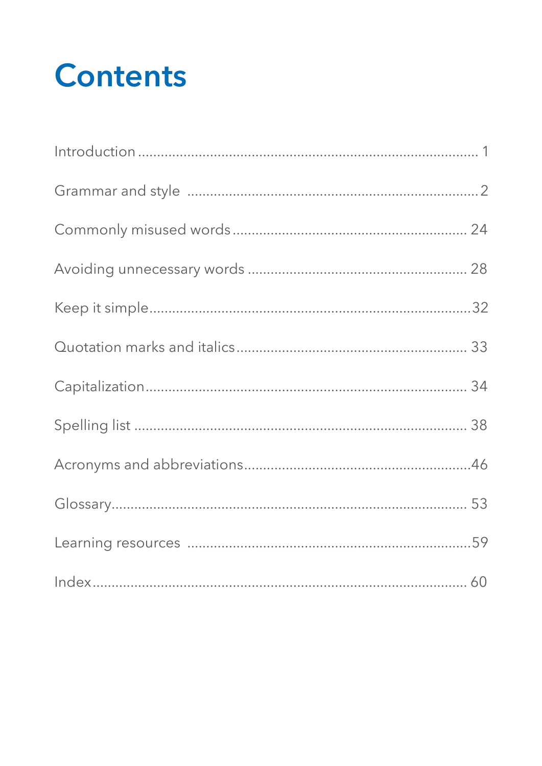# **Contents**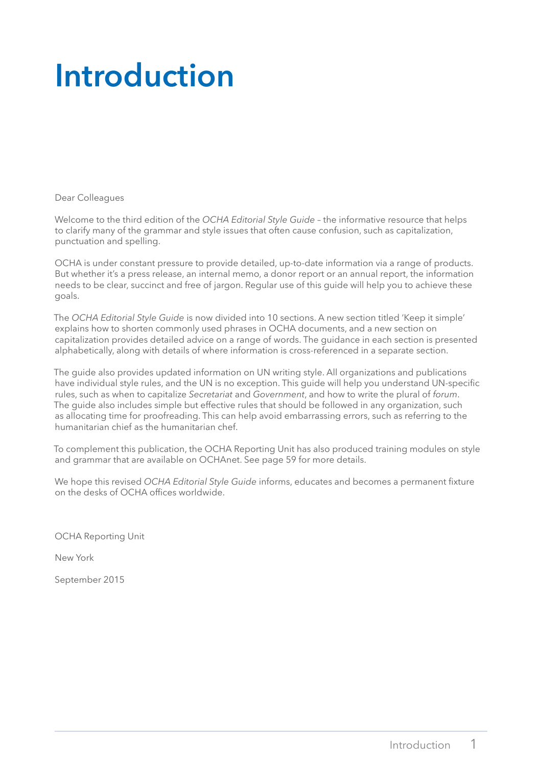# <span id="page-2-0"></span>**Introduction**

Dear Colleagues

Welcome to the third edition of the *OCHA Editorial Style Guide* – the informative resource that helps to clarify many of the grammar and style issues that often cause confusion, such as capitalization, punctuation and spelling.

OCHA is under constant pressure to provide detailed, up-to-date information via a range of products. But whether it's a press release, an internal memo, a donor report or an annual report, the information needs to be clear, succinct and free of jargon. Regular use of this guide will help you to achieve these goals.

The *OCHA Editorial Style Guide* is now divided into 10 sections. A new section titled 'Keep it simple' explains how to shorten commonly used phrases in OCHA documents, and a new section on capitalization provides detailed advice on a range of words. The guidance in each section is presented alphabetically, along with details of where information is cross-referenced in a separate section.

The guide also provides updated information on UN writing style. All organizations and publications have individual style rules, and the UN is no exception. This guide will help you understand UN-specific rules, such as when to capitalize *Secretariat* and *Government*, and how to write the plural of *forum*. The guide also includes simple but effective rules that should be followed in any organization, such as allocating time for proofreading. This can help avoid embarrassing errors, such as referring to the humanitarian chief as the humanitarian chef.

To complement this publication, the OCHA Reporting Unit has also produced training modules on style and grammar that are available on OCHAnet. See page 59 for more details.

We hope this revised *OCHA Editorial Style Guide* informs, educates and becomes a permanent fixture on the desks of OCHA offices worldwide.

OCHA Reporting Unit

New York

September 2015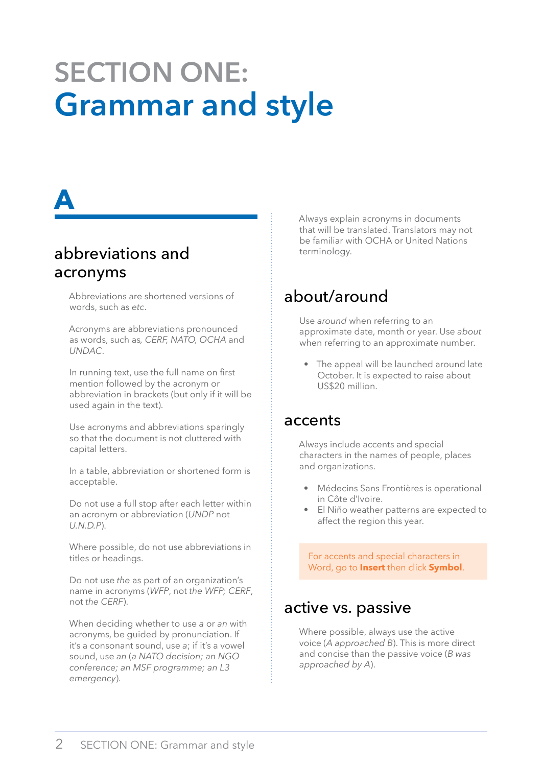# <span id="page-3-0"></span>**Section one: Grammar and style**

# **a**

# abbreviations and acronyms

Abbreviations are shortened versions of words, such as *etc*.

Acronyms are abbreviations pronounced as words, such as*, CERF, NATO, OCHA* and *UNDAC*.

In running text, use the full name on first mention followed by the acronym or abbreviation in brackets (but only if it will be used again in the text).

Use acronyms and abbreviations sparingly so that the document is not cluttered with capital letters.

In a table, abbreviation or shortened form is acceptable.

Do not use a full stop after each letter within an acronym or abbreviation (*UNDP* not *U.N.D.P*).

Where possible, do not use abbreviations in titles or headings.

Do not use *the* as part of an organization's name in acronyms (*WFP*, not *the WFP; CERF*, not *the CERF*).

When deciding whether to use *a* or *an* with acronyms, be guided by pronunciation. If it's a consonant sound, use *a*; if it's a vowel sound, use *an* (*a NATO decision; an NGO conference; an MSF programme; an L3 emergency*).

Always explain acronyms in documents that will be translated. Translators may not be familiar with OCHA or United Nations terminology.

# about/around

Use *around* when referring to an approximate date, month or year. Use *about* when referring to an approximate number.

• The appeal will be launched around late October. It is expected to raise about US\$20 million.

#### accents

Always include accents and special characters in the names of people, places and organizations.

- Médecins Sans Frontières is operational in Côte d'Ivoire.
- El Niño weather patterns are expected to affect the region this year.

For accents and special characters in Word, go to **Insert** then click **Symbol**.

# active vs. passive

Where possible, always use the active voice (*A approached B*). This is more direct and concise than the passive voice (*B was approached by A*).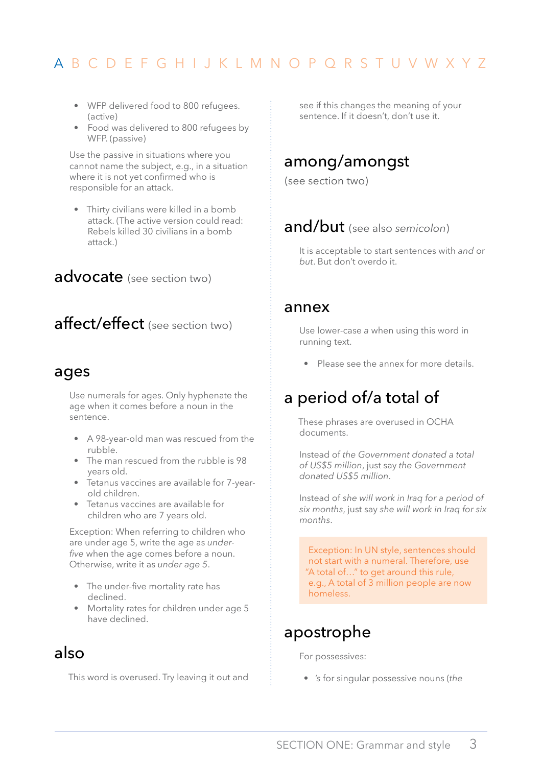- <span id="page-4-0"></span>• WFP delivered food to 800 refugees. (active)
- Food was delivered to 800 refugees by WFP. (passive)

Use the passive in situations where you cannot name the subject, e.g., in a situation where it is not yet confirmed who is responsible for an attack.

• Thirty civilians were killed in a bomb attack. (The active version could read: Rebels killed 30 civilians in a bomb attack.)

#### advocate (see section two)

# affect/effect (see section two)

#### ages

Use numerals for ages. Only hyphenate the age when it comes before a noun in the sentence.

- A 98-year-old man was rescued from the rubble.
- The man rescued from the rubble is 98 years old.
- Tetanus vaccines are available for 7-yearold children.
- Tetanus vaccines are available for children who are 7 years old.

Exception: When referring to children who are under age 5, write the age as *underfive* when the age comes before a noun. Otherwise, write it as *under age 5*.

- The under-five mortality rate has declined.
- Mortality rates for children under age 5 have declined.

# also

This word is overused. Try leaving it out and

see if this changes the meaning of your sentence. If it doesn't, don't use it.

### among/amongst

(see section two)

#### and/but (see also *semicolon*)

It is acceptable to start sentences with *and* or *but*. But don't overdo it.

#### annex

Use lower-case *a* when using this word in running text.

• Please see the annex for more details.

# a period of/a total of

These phrases are overused in OCHA documents.

Instead of *the Government donated a total of US\$5 million*, just say *the Government donated US\$5 million*.

Instead of *she will work in Iraq for a period of six months*, just say *she will work in Iraq for six months*.

Exception: In UN style, sentences should not start with a numeral. Therefore, use "A total of…" to get around this rule, e.g., A total of 3 million people are now homeless.

### apostrophe

For possessives:

• *'s* for singular possessive nouns (*the*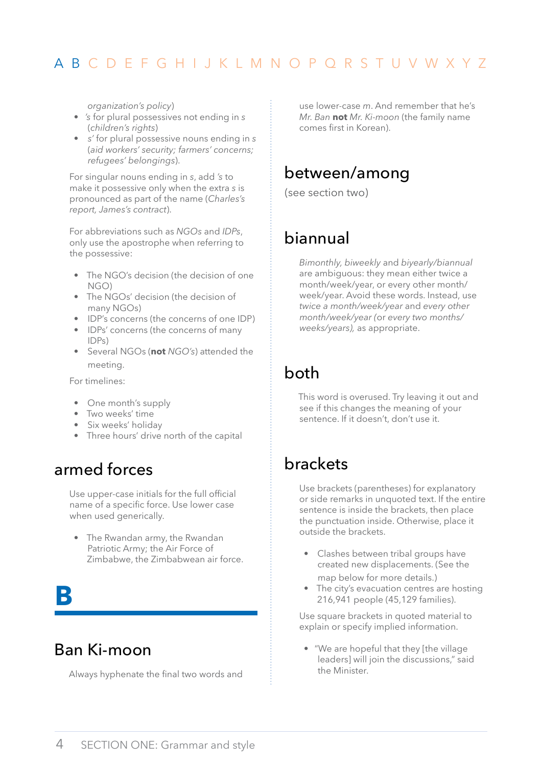<span id="page-5-0"></span>*organization's policy*)

- *'s* for plural possessives not ending in *s* (*children's rights*)
- *s'* for plural possessive nouns ending in *s* (*aid workers' security; farmers' concerns; refugees' belongings*).

For singular nouns ending in *s*, add *'s* to make it possessive only when the extra *s* is pronounced as part of the name (*Charles's report, James's contract*).

For abbreviations such as *NGOs* and *IDPs*, only use the apostrophe when referring to the possessive:

- The NGO's decision (the decision of one  $NGD$
- The NGOs' decision (the decision of many NGOs)
- IDP's concerns (the concerns of one IDP)
- IDPs' concerns (the concerns of many IDPs)
- Several NGOs (**not** *NGO's*) attended the meeting.

For timelines:

- One month's supply
- Two weeks' time
- Six weeks' holiday
- Three hours' drive north of the capital

### armed forces

Use upper-case initials for the full official name of a specific force. Use lower case when used generically.

• The Rwandan army, the Rwandan Patriotic Army; the Air Force of Zimbabwe, the Zimbabwean air force.

# **b**

# Ban Ki-moon

Always hyphenate the final two words and

use lower-case *m*. And remember that he's *Mr. Ban* **not** *Mr. Ki-moon* (the family name comes first in Korean).

# between/among

(see section two)

# biannual

*Bimonthly, biweekly* and *biyearly/biannual* are ambiguous: they mean either twice a month/week/year, or every other month/ week/year. Avoid these words. Instead, use *twice a month/week/year* and *every other month/week/year (*or *every two months/ weeks/years),* as appropriate.

# both

This word is overused. Try leaving it out and see if this changes the meaning of your sentence. If it doesn't, don't use it.

# brackets

Use brackets (parentheses) for explanatory or side remarks in unquoted text. If the entire sentence is inside the brackets, then place the punctuation inside. Otherwise, place it outside the brackets.

- Clashes between tribal groups have created new displacements. (See the map below for more details.)
- The city's evacuation centres are hosting 216,941 people (45,129 families).

Use square brackets in quoted material to explain or specify implied information.

• "We are hopeful that they [the village leaders] will join the discussions," said the Minister.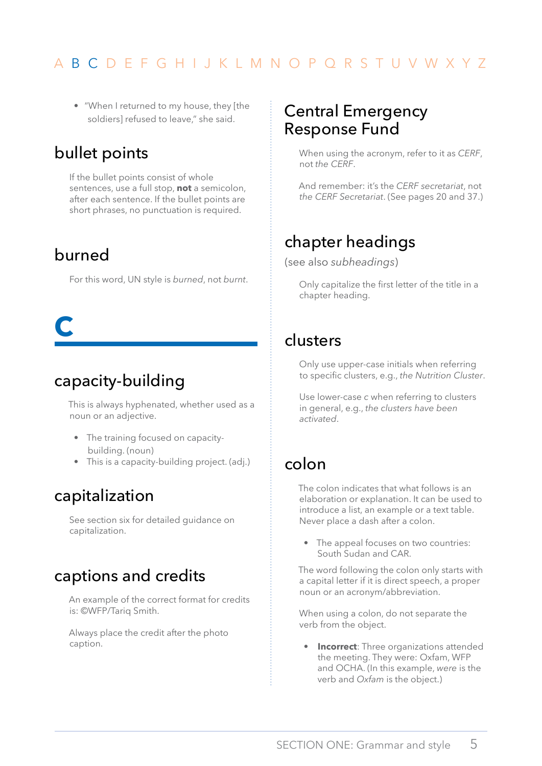<span id="page-6-0"></span>• "When I returned to my house, they [the soldiers] refused to leave," she said.

# bullet points

If the bullet points consist of whole sentences, use a full stop, **not** a semicolon, after each sentence. If the bullet points are short phrases, no punctuation is required.

### burned

For this word, UN style is *burned*, not *burnt*.

# **c**

# capacity-building

This is always hyphenated, whether used as a noun or an adjective.

- The training focused on capacitybuilding. (noun)
- This is a capacity-building project. (adj.)

# capitalization

See section six for detailed guidance on capitalization.

# captions and credits

An example of the correct format for credits is: ©WFP/Tariq Smith.

Always place the credit after the photo caption.

### Central Emergency Response Fund

When using the acronym, refer to it as *CERF*, not *the CERF*.

And remember: it's the *CERF secretariat*, not *the CERF Secretariat*. (See pages 20 and 37.)

# chapter headings

(see also *subheadings*)

Only capitalize the first letter of the title in a chapter heading.

### clusters

Only use upper-case initials when referring to specific clusters, e.g., *the Nutrition Cluster*.

Use lower-case *c* when referring to clusters in general, e.g., *the clusters have been activated*.

# colon

The colon indicates that what follows is an elaboration or explanation. It can be used to introduce a list, an example or a text table. Never place a dash after a colon.

• The appeal focuses on two countries: South Sudan and CAR.

The word following the colon only starts with a capital letter if it is direct speech, a proper noun or an acronym/abbreviation.

When using a colon, do not separate the verb from the object.

• **Incorrect**: Three organizations attended the meeting. They were: Oxfam, WFP and OCHA. (In this example, *were* is the verb and *Oxfam* is the object.)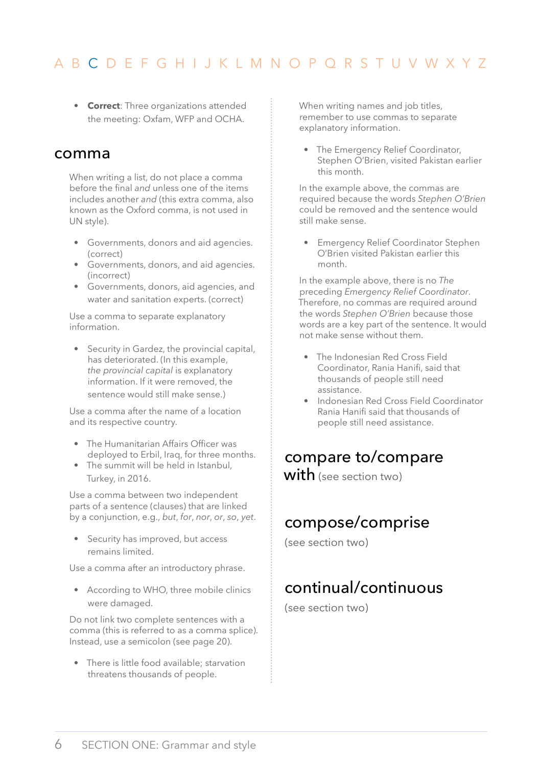<span id="page-7-0"></span>• **Correct**: Three organizations attended the meeting: Oxfam, WFP and OCHA.

#### comma

When writing a list, do not place a comma before the final *and* unless one of the items includes another *and* (this extra comma, also known as the Oxford comma, is not used in UN style).

- Governments, donors and aid agencies. (correct)
- Governments, donors, and aid agencies. (incorrect)
- Governments, donors, aid agencies, and water and sanitation experts. (correct)

Use a comma to separate explanatory information.

• Security in Gardez, the provincial capital, has deteriorated. (In this example, *the provincial capital* is explanatory information. If it were removed, the sentence would still make sense.)

Use a comma after the name of a location and its respective country.

- The Humanitarian Affairs Officer was deployed to Erbil, Iraq, for three months.
- The summit will be held in Istanbul, Turkey, in 2016.

Use a comma between two independent parts of a sentence (clauses) that are linked by a conjunction, e.g., *but*, *for*, *nor*, *or*, *so*, *yet*.

• Security has improved, but access remains limited.

Use a comma after an introductory phrase.

• According to WHO, three mobile clinics were damaged.

Do not link two complete sentences with a comma (this is referred to as a comma splice). Instead, use a semicolon (see page 20).

• There is little food available; starvation threatens thousands of people.

When writing names and job titles, remember to use commas to separate explanatory information.

• The Emergency Relief Coordinator, Stephen O'Brien, visited Pakistan earlier this month.

In the example above, the commas are required because the words *Stephen O'Brien* could be removed and the sentence would still make sense.

• Emergency Relief Coordinator Stephen O'Brien visited Pakistan earlier this month.

In the example above, there is no *The* preceding *Emergency Relief Coordinator*. Therefore, no commas are required around the words *Stephen O'Brien* because those words are a key part of the sentence. It would not make sense without them.

- The Indonesian Red Cross Field Coordinator, Rania Hanifi, said that thousands of people still need assistance.
- Indonesian Red Cross Field Coordinator Rania Hanifi said that thousands of people still need assistance.

# compare to/compare

with (see section two)

# compose/comprise

(see section two)

# continual/continuous

(see section two)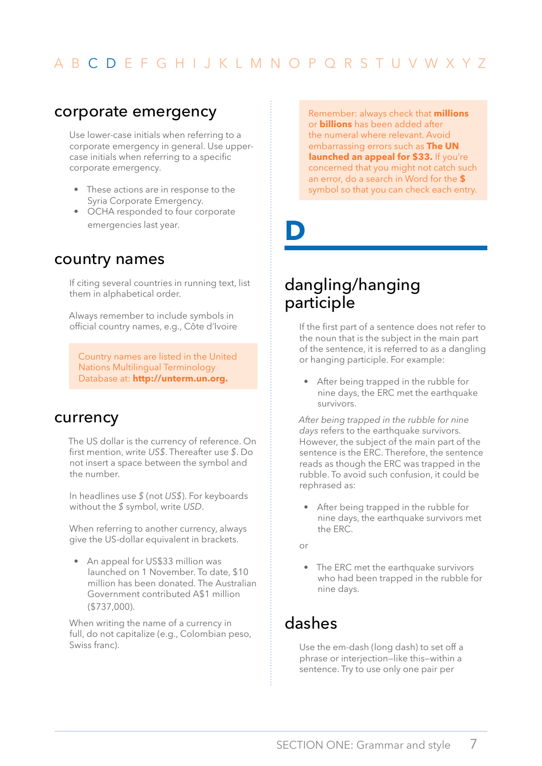#### <span id="page-8-0"></span>corporate emergency

Use lower-case initials when referring to a corporate emergency in general. Use uppercase initials when referring to a specific corporate emergency.

- These actions are in response to the Syria Corporate Emergency.
- OCHA responded to four corporate emergencies last year.

#### country names

If citing several countries in running text, list them in alphabetical order.

Always remember to include symbols in official country names, e.g., Côte d'Ivoire

Country names are listed in the United Nations Multilingual Terminology Database at: **[http://unterm.un.org.](http://unterm.un.org)** 

#### currency

The US dollar is the currency of reference. On first mention, write *US\$*. Thereafter use *\$*. Do not insert a space between the symbol and the number.

In headlines use *\$* (not *US\$*). For keyboards without the *\$* symbol, write *USD*.

When referring to another currency, always give the US-dollar equivalent in brackets.

• An appeal for US\$33 million was launched on 1 November. To date, \$10 million has been donated. The Australian Government contributed A\$1 million (\$737,000).

When writing the name of a currency in full, do not capitalize (e.g., Colombian peso, Swiss franc).

Remember: always check that **millions** or **billions** has been added after the numeral where relevant. Avoid embarrassing errors such as **The UN launched an appeal for \$33.** If you're concerned that you might not catch such an error, do a search in Word for the **\$**  symbol so that you can check each entry.

**D**

# dangling/hanging participle

If the first part of a sentence does not refer to the noun that is the subject in the main part of the sentence, it is referred to as a dangling or hanging participle. For example:

• After being trapped in the rubble for nine days, the ERC met the earthquake survivors.

*After being trapped in the rubble for nine days* refers to the earthquake survivors. However, the subject of the main part of the sentence is the ERC. Therefore, the sentence reads as though the ERC was trapped in the rubble. To avoid such confusion, it could be rephrased as:

- After being trapped in the rubble for nine days, the earthquake survivors met the ERC.
- $\alpha$ r
- The ERC met the earthquake survivors who had been trapped in the rubble for nine days.

# dashes

Use the em-dash (long dash) to set off a phrase or interjection—like this—within a sentence. Try to use only one pair per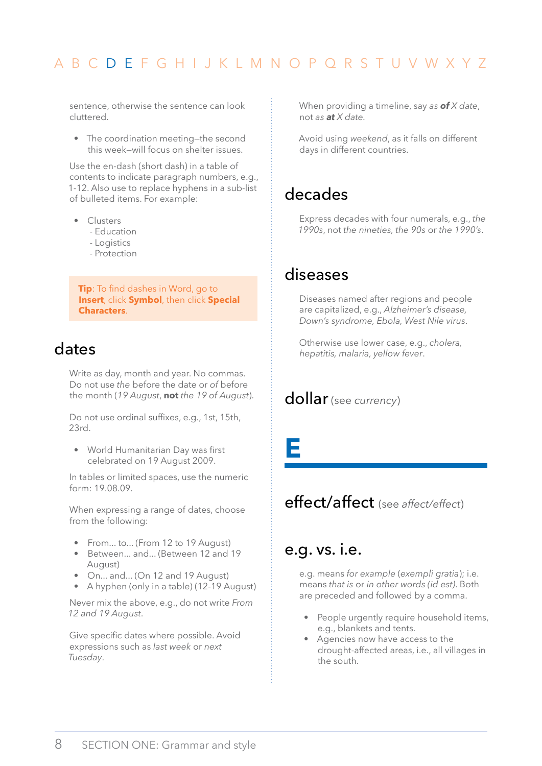<span id="page-9-0"></span>sentence, otherwise the sentence can look cluttered.

• The coordination meeting—the second this week—will focus on shelter issues.

Use the en-dash (short dash) in a table of contents to indicate paragraph numbers, e.g., 1-12. Also use to replace hyphens in a sub-list of bulleted items. For example:

- Clusters
	- Education
	- Logistics
	- Protection

**Tip**: To find dashes in Word, go to **Insert**, click **Symbol**, then click **Special Characters**.

# dates

Write as day, month and year. No commas. Do not use *the* before the date or *of* before the month (*19 August*, **not** *the 19 of August*).

Do not use ordinal suffixes, e.g., 1st, 15th, 23rd.

• World Humanitarian Day was first celebrated on 19 August 2009.

In tables or limited spaces, use the numeric form: 19.08.09.

When expressing a range of dates, choose from the following:

- From... to... (From 12 to 19 August)
- Between... and... (Between 12 and 19 August)
- On... and... (On 12 and 19 August)
- A hyphen (only in a table) (12-19 August)

Never mix the above, e.g., do not write *From 12 and 19 August*.

Give specific dates where possible. Avoid expressions such as *last week* or *next Tuesday*.

When providing a timeline, say *as of X date*, not *as at X date.* 

Avoid using *weekend*, as it falls on different days in different countries.

### decades

Express decades with four numerals, e.g., *the 1990s*, not *the nineties, the 90s* or *the 1990's*.

#### diseases

Diseases named after regions and people are capitalized, e.g., *Alzheimer's disease, Down's syndrome, Ebola, West Nile virus*.

Otherwise use lower case, e.g., *cholera, hepatitis, malaria, yellow fever*.

### dollar (see *currency*)

**E**

# effect/affect (see *affect/effect*)

#### e.g. vs. i.e.

e.g. means *for example* (*exempli gratia*); i.e. means *that is* or *in other words (id est)*. Both are preceded and followed by a comma.

- People urgently require household items, e.g., blankets and tents.
- Agencies now have access to the drought-affected areas, i.e., all villages in the south.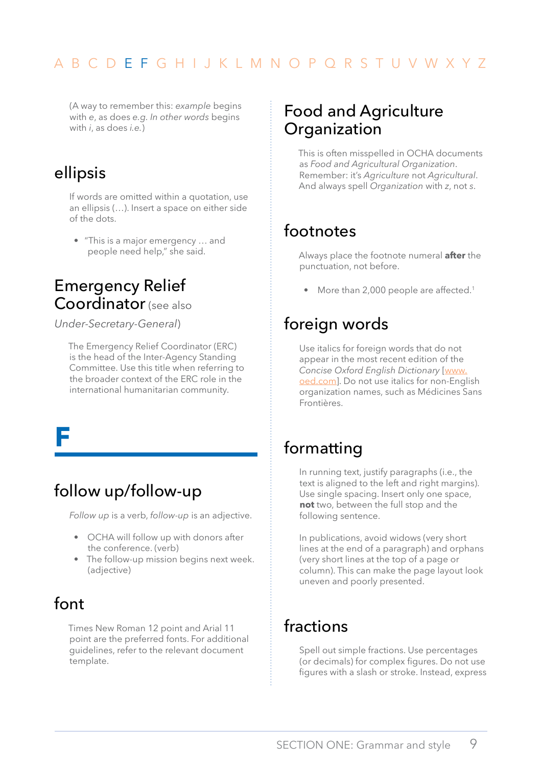<span id="page-10-0"></span>(A way to remember this: *example* begins with *e*, as does *e.g. In other words* begins with *i*, as does *i.e.*)

# ellipsis

If words are omitted within a quotation, use an ellipsis (…). Insert a space on either side of the dots.

• "This is a major emergency … and people need help," she said.

# Emergency Relief Coordinator (see also

*Under-Secretary-General*)

The Emergency Relief Coordinator (ERC) is the head of the Inter-Agency Standing Committee. Use this title when referring to the broader context of the ERC role in the international humanitarian community.

**F**

# follow up/follow-up

*Follow up* is a verb, *follow-up* is an adjective.

- OCHA will follow up with donors after the conference. (verb)
- The follow-up mission begins next week. (adjective)

# font

Times New Roman 12 point and Arial 11 point are the preferred fonts. For additional guidelines, refer to the relevant document template.

# Food and Agriculture Organization

This is often misspelled in OCHA documents as *Food and Agricultural Organization*. Remember: it's *Agriculture* not *Agricultural*. And always spell *Organization* with *z*, not *s*.

# footnotes

Always place the footnote numeral **after** the punctuation, not before.

• More than 2,000 people are affected.<sup>1</sup>

# foreign words

Use italics for foreign words that do not appear in the most recent edition of the *Concise Oxford English Dictionary* [[www.](www.oed.com) [oed.com\]](www.oed.com). Do not use italics for non-English organization names, such as Médicines Sans Frontières.

# formatting

In running text, justify paragraphs (i.e., the text is aligned to the left and right margins). Use single spacing. Insert only one space, **not** two, between the full stop and the following sentence.

In publications, avoid widows (very short lines at the end of a paragraph) and orphans (very short lines at the top of a page or column). This can make the page layout look uneven and poorly presented.

# fractions

Spell out simple fractions. Use percentages (or decimals) for complex figures. Do not use figures with a slash or stroke. Instead, express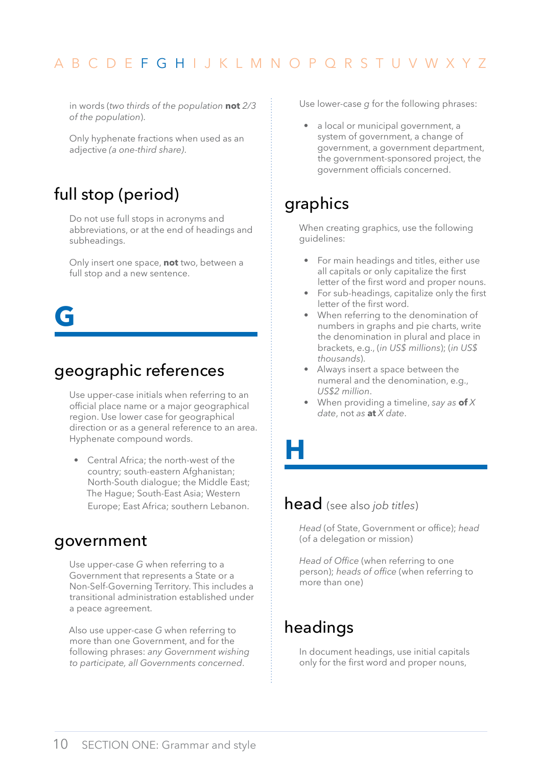<span id="page-11-0"></span>in words (*two thirds of the population* **not** *2/3 of the population*).

Only hyphenate fractions when used as an adjective *(a one-third share)*.

# full stop (period)

Do not use full stops in acronyms and abbreviations, or at the end of headings and subheadings.

Only insert one space, **not** two, between a full stop and a new sentence.

**G**

### geographic references

Use upper-case initials when referring to an official place name or a major geographical region. Use lower case for geographical direction or as a general reference to an area. Hyphenate compound words.

• Central Africa; the north-west of the country; south-eastern Afghanistan; North-South dialogue; the Middle East; The Hague; South-East Asia; Western Europe; East Africa; southern Lebanon.

#### government

Use upper-case *G* when referring to a Government that represents a State or a Non-Self-Governing Territory. This includes a transitional administration established under a peace agreement.

Also use upper-case *G* when referring to more than one Government, and for the following phrases: *any Government wishing to participate, all Governments concerned*.

Use lower-case *g* for the following phrases:

• a local or municipal government, a system of government, a change of government, a government department, the government-sponsored project, the government officials concerned.

# graphics

When creating graphics, use the following guidelines:

- For main headings and titles, either use all capitals or only capitalize the first letter of the first word and proper nouns.
- For sub-headings, capitalize only the first letter of the first word.
- When referring to the denomination of numbers in graphs and pie charts, write the denomination in plural and place in brackets, e.g., (*in US\$ millions*); (*in US\$ thousands*).
- Always insert a space between the numeral and the denomination, e.g., *US\$2 million*.
- When providing a timeline, *say as* **of** *X date*, not *as* **at** *X date*.

**H**

#### head (see also *job titles*)

*Head* (of State, Government or office); *head* (of a delegation or mission)

*Head of Office* (when referring to one person); *heads of office* (when referring to more than one)

# headings

In document headings, use initial capitals only for the first word and proper nouns,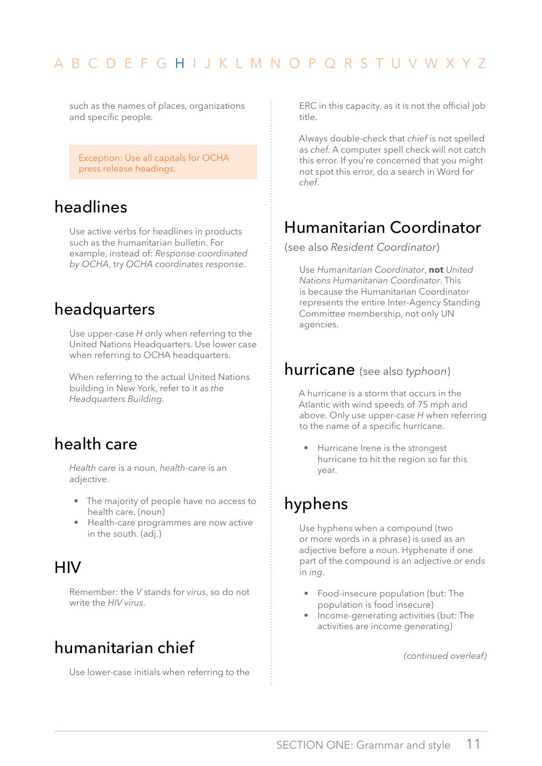<span id="page-12-0"></span>such as the names of places, organizations and specific people*.* 

Exception: Use all capitals for OCHA press release headings.

### headlines

Use active verbs for headlines in products such as the humanitarian bulletin. For example, instead of: *Response coordinated by OCHA*, try *OCHA coordinates response*.

### headquarters

Use upper-case *H* only when referring to the United Nations Headquarters. Use lower case when referring to OCHA headquarters.

When referring to the actual United Nations building in New York, refer to it as *the Headquarters Building*.

# health care

*Health care* is a noun, *health-care* is an adjective.

- The majority of people have no access to health care. (noun)
- Health-care programmes are now active in the south. (adj.)

### **HIV**

Remember: the *V* stands for *virus*, so do not write the *HIV virus*.

# humanitarian chief

Use lower-case initials when referring to the

ERC in this capacity, as it is not the official job title.

Always double-check that *chief* is not spelled as *chef*. A computer spell check will not catch this error. If you're concerned that you might not spot this error, do a search in Word for *chef*.

# Humanitarian Coordinator

(see also *Resident Coordinator*)

Use *Humanitarian Coordinator*, **not** *United Nations Humanitarian Coordinator*. This is because the Humanitarian Coordinator represents the entire Inter-Agency Standing Committee membership, not only UN agencies.

#### hurricane (see also *typhoon*)

A hurricane is a storm that occurs in the Atlantic with wind speeds of 75 mph and above. Only use upper-case *H* when referring to the name of a specific hurricane.

• Hurricane Irene is the strongest hurricane to hit the region so far this year.

# hyphens

Use hyphens when a compound (two or more words in a phrase) is used as an adjective before a noun. Hyphenate if one part of the compound is an adjective or ends in *ing*.

- Food-insecure population (but: The population is food insecure)
- Income-generating activities (but: The activities are income generating)

*(continued overleaf)*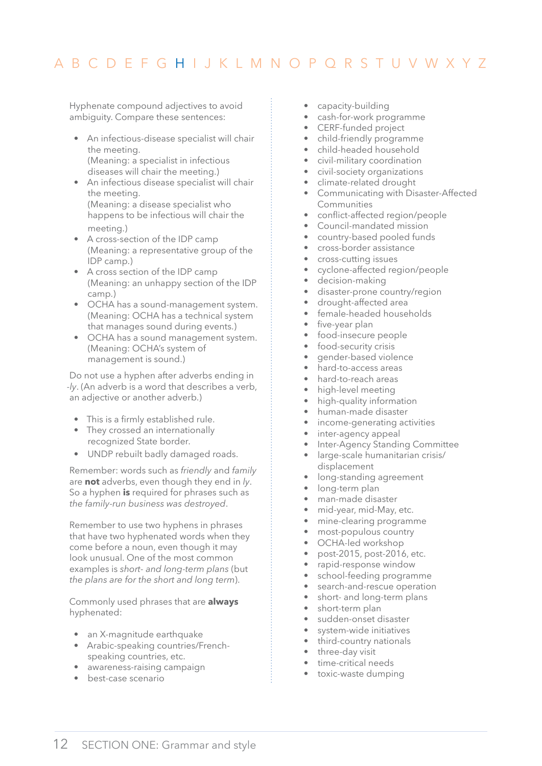<span id="page-13-0"></span>Hyphenate compound adjectives to avoid ambiguity. Compare these sentences:

- An infectious-disease specialist will chair the meeting. (Meaning: a specialist in infectious diseases will chair the meeting.)
- An infectious disease specialist will chair the meeting. (Meaning: a disease specialist who happens to be infectious will chair the meeting.)
- A cross-section of the IDP camp (Meaning: a representative group of the IDP camp.)
- A cross section of the IDP camp (Meaning: an unhappy section of the IDP camp.)
- OCHA has a sound-management system. (Meaning: OCHA has a technical system that manages sound during events.)
- OCHA has a sound management system. (Meaning: OCHA's system of management is sound.)

Do not use a hyphen after adverbs ending in *-ly*. (An adverb is a word that describes a verb, an adjective or another adverb.)

- This is a firmly established rule.
- They crossed an internationally recognized State border.
- UNDP rebuilt badly damaged roads.

Remember: words such as *friendly* and *family* are **not** adverbs, even though they end in *ly*. So a hyphen **is** required for phrases such as *the family-run business was destroyed*.

Remember to use two hyphens in phrases that have two hyphenated words when they come before a noun, even though it may look unusual. One of the most common examples is *short- and long-term plans* (but *the plans are for the short and long term*).

Commonly used phrases that are **always** hyphenated:

- an X-magnitude earthquake
- Arabic-speaking countries/Frenchspeaking countries, etc.
- awareness-raising campaign
- best-case scenario
- capacity-building
- cash-for-work programme
- CERF-funded project
- child-friendly programme
- child-headed household
- civil-military coordination
- civil-society organizations
- climate-related drought
- Communicating with Disaster-Affected Communities
- conflict-affected region/people
- Council-mandated mission
- country-based pooled funds
- cross-border assistance
- cross-cutting issues
- cyclone-affected region/people
- decision-making
- disaster-prone country/region
- drought-affected area
- female-headed households
- five-year plan
- food-insecure people
- food-security crisis
- gender-based violence
- hard-to-access areas
- hard-to-reach areas
- high-level meeting
- high-quality information
- human-made disaster
- income-generating activities
- inter-agency appeal
- Inter-Agency Standing Committee
- large-scale humanitarian crisis/ displacement
- long-standing agreement
- long-term plan
- man-made disaster
- mid-year, mid-May, etc.
- mine-clearing programme
- most-populous country
- OCHA-led workshop
- post-2015, post-2016, etc.
- rapid-response window
- school-feeding programme
- search-and-rescue operation
- short- and long-term plans
- short-term plan
- sudden-onset disaster
- system-wide initiatives
- third-country nationals
- three-day visit
- time-critical needs
- toxic-waste dumping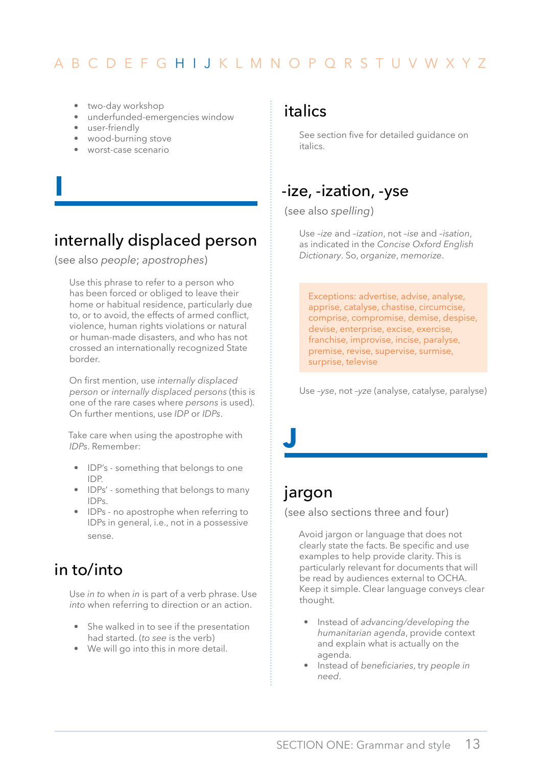- <span id="page-14-0"></span>• two-day workshop
- underfunded-emergencies window
- user-friendly

**I**

- wood-burning stove
- worst-case scenario

# internally displaced person

(see also *people*; *apostrophes*)

Use this phrase to refer to a person who has been forced or obliged to leave their home or habitual residence, particularly due to, or to avoid, the effects of armed conflict, violence, human rights violations or natural or human-made disasters, and who has not crossed an internationally recognized State border.

On first mention, use *internally displaced person* or *internally displaced persons* (this is one of the rare cases where *persons* is used). On further mentions, use *IDP* or *IDPs*.

Take care when using the apostrophe with *IDPs*. Remember:

- IDP's something that belongs to one IDP.
- IDPs' something that belongs to many IDPs.
- IDPs no apostrophe when referring to IDPs in general, i.e., not in a possessive sense.

# in to/into

Use *in to* when *in* is part of a verb phrase. Use *into* when referring to direction or an action.

- She walked in to see if the presentation had started. (*to see* is the verb)
- We will go into this in more detail.

#### italics

See section five for detailed guidance on italics.

# -ize, -ization, -yse

(see also *spelling*)

Use *–ize* and *–ization*, not *–ise* and *–isation*, as indicated in the *Concise Oxford English Dictionary*. So, *organize*, *memorize*.

Exceptions: advertise, advise, analyse, apprise, catalyse, chastise, circumcise, comprise, compromise, demise, despise, devise, enterprise, excise, exercise, franchise, improvise, incise, paralyse, premise, revise, supervise, surmise, surprise, televise

Use *–yse*, not *–yze* (analyse, catalyse, paralyse)

#### jargon

**J**

(see also sections three and four)

Avoid jargon or language that does not clearly state the facts. Be specific and use examples to help provide clarity. This is particularly relevant for documents that will be read by audiences external to OCHA. Keep it simple. Clear language conveys clear thought.

- Instead of *advancing/developing the humanitarian agenda*, provide context and explain what is actually on the agenda.
- Instead of *beneficiaries*, try *people in need*.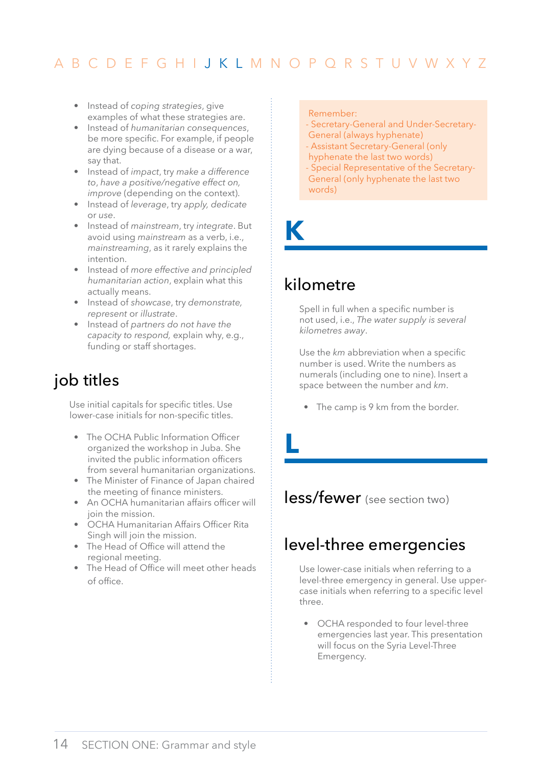- <span id="page-15-0"></span>• Instead of *coping strategies*, give examples of what these strategies are.
- Instead of *humanitarian consequences*, be more specific. For example, if people are dying because of a disease or a war, say that.
- Instead of *impact*, try *make a difference to*, *have a positive/negative effect on, improve* (depending on the context).
- Instead of *leverage*, try *apply, dedicate*  or *use*.
- Instead of *mainstream*, try *integrate*. But avoid using *mainstream* as a verb, i.e., *mainstreaming*, as it rarely explains the intention.
- Instead of *more effective and principled humanitarian action*, explain what this actually means.
- Instead of *showcase*, try *demonstrate, represent* or *illustrate*.
- Instead of *partners do not have the capacity to respond,* explain why, e.g., funding or staff shortages.

# job titles

Use initial capitals for specific titles. Use lower-case initials for non-specific titles.

- The OCHA Public Information Officer organized the workshop in Juba. She invited the public information officers from several humanitarian organizations.
- The Minister of Finance of Japan chaired the meeting of finance ministers.
- An OCHA humanitarian affairs officer will join the mission.
- OCHA Humanitarian Affairs Officer Rita Singh will join the mission.
- The Head of Office will attend the regional meeting.
- The Head of Office will meet other heads of office.

#### Remember:

- Secretary-General and Under-Secretary-General (always hyphenate)
- Assistant Secretary-General (only
- hyphenate the last two words)
- Special Representative of the Secretary-General (only hyphenate the last two words)

**K**

**L**

# kilometre

Spell in full when a specific number is not used, i.e., *The water supply is several kilometres away*.

Use the *km* abbreviation when a specific number is used. Write the numbers as numerals (including one to nine). Insert a space between the number and *km*.

• The camp is 9 km from the border.

less/fewer (see section two)

# level-three emergencies

Use lower-case initials when referring to a level-three emergency in general. Use uppercase initials when referring to a specific level three.

• OCHA responded to four level-three emergencies last year. This presentation will focus on the Syria Level-Three Emergency.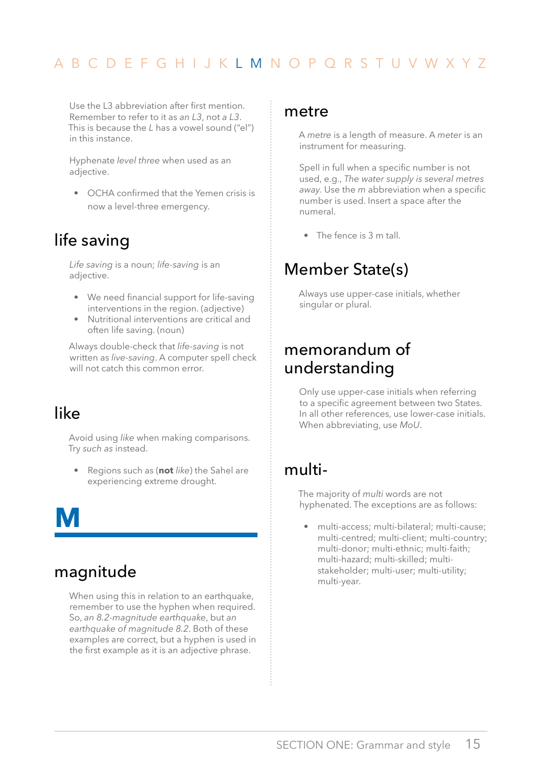<span id="page-16-0"></span>Use the L3 abbreviation after first mention. Remember to refer to it as *an L3*, not *a L3*. This is because the *L* has a vowel sound ("el") in this instance.

Hyphenate *level three* when used as an adjective.

• OCHA confirmed that the Yemen crisis is now a level-three emergency.

# life saving

*Life saving* is a noun; *life-saving* is an adjective.

- We need financial support for life-saving interventions in the region. (adjective)
- Nutritional interventions are critical and often life saving. (noun)

Always double-check that *life-saving* is not written as *live-saving*. A computer spell check will not catch this common error.

# like

Avoid using *like* when making comparisons. Try *such as* instead.

• Regions such as (**not** *like*) the Sahel are experiencing extreme drought.

**M**

# magnitude

When using this in relation to an earthquake, remember to use the hyphen when required. So, *an 8.2-magnitude earthquake*, but *an earthquake of magnitude 8.2*. Both of these examples are correct, but a hyphen is used in the first example as it is an adjective phrase.

#### metre

A *metre* is a length of measure. A *meter* is an instrument for measuring.

Spell in full when a specific number is not used, e.g., *The water supply is several metres away.* Use the *m* abbreviation when a specific number is used. Insert a space after the numeral.

• The fence is 3 m tall.

# Member State(s)

Always use upper-case initials, whether singular or plural.

# memorandum of understanding

Only use upper-case initials when referring to a specific agreement between two States. In all other references, use lower-case initials. When abbreviating, use *MoU*.

#### multi-

The majority of *multi* words are not hyphenated. The exceptions are as follows:

• multi-access; multi-bilateral; multi-cause; multi-centred; multi-client; multi-country; multi-donor; multi-ethnic; multi-faith; multi-hazard; multi-skilled; multistakeholder; multi-user; multi-utility; multi-year.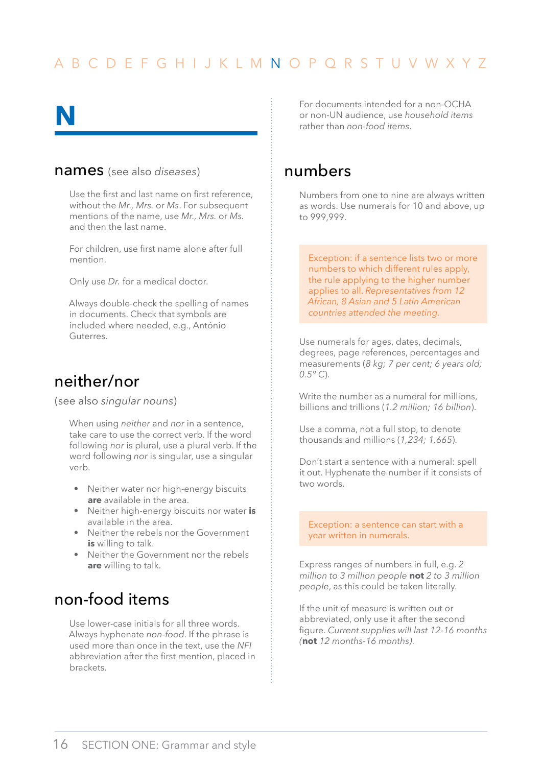# <span id="page-17-0"></span>**N**

#### names (see also *diseases*)

Use the first and last name on first reference, without the *Mr., Mrs.* or *Ms*. For subsequent mentions of the name, use *Mr., Mrs.* or *Ms.* and then the last name.

For children, use first name alone after full mention.

Only use *Dr.* for a medical doctor.

Always double-check the spelling of names in documents. Check that symbols are included where needed, e.g., António Guterres.

#### neither/nor

(see also *singular nouns*)

When using *neither* and *nor* in a sentence, take care to use the correct verb. If the word following *nor* is plural, use a plural verb. If the word following *nor* is singular, use a singular verb.

- Neither water nor high-energy biscuits **are** available in the area.
- Neither high-energy biscuits nor water **is** available in the area.
- Neither the rebels nor the Government **is** willing to talk.
- Neither the Government nor the rebels **are** willing to talk.

## non-food items

Use lower-case initials for all three words. Always hyphenate *non-food*. If the phrase is used more than once in the text, use the *NFI* abbreviation after the first mention, placed in brackets.

For documents intended for a non-OCHA or non-UN audience, use *household items* rather than *non-food items*.

#### numbers

Numbers from one to nine are always written as words. Use numerals for 10 and above, up to 999,999.

Exception: if a sentence lists two or more numbers to which different rules apply, the rule applying to the higher number applies to all. *Representatives from 12 African, 8 Asian and 5 Latin American countries attended the meeting.*

Use numerals for ages, dates, decimals, degrees, page references, percentages and measurements (*8 kg; 7 per cent; 6 years old; 0.5° C*).

Write the number as a numeral for millions, billions and trillions (*1.2 million; 16 billion*).

Use a comma, not a full stop, to denote thousands and millions (*1,234; 1,665*).

Don't start a sentence with a numeral: spell it out. Hyphenate the number if it consists of two words.

Exception: a sentence can start with a year written in numerals.

Express ranges of numbers in full, e.g. *2 million to 3 million people* **not** *2 to 3 million people*, as this could be taken literally.

If the unit of measure is written out or abbreviated, only use it after the second figure. *Current supplies will last 12-16 months (***not** *12 months-16 months)*.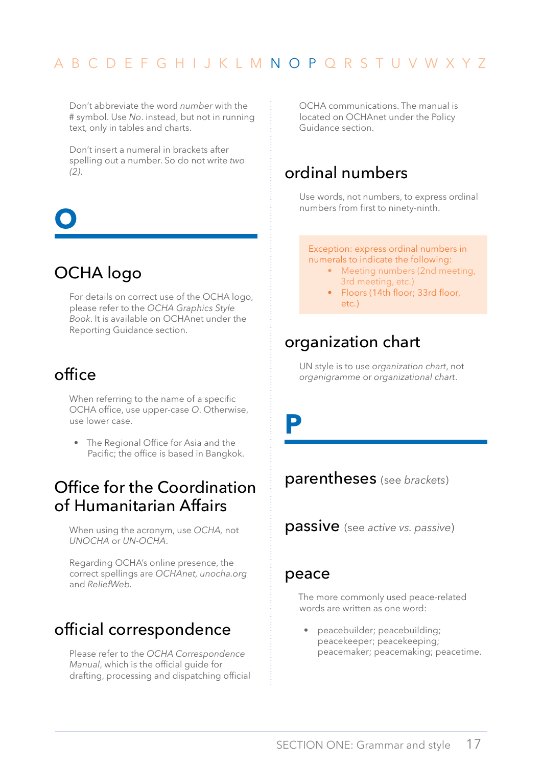<span id="page-18-0"></span>Don't abbreviate the word *number* with the # symbol. Use *No*. instead, but not in running text, only in tables and charts.

Don't insert a numeral in brackets after spelling out a number. So do not write *two (2)*.

# **O**

# OCHA logo

For details on correct use of the OCHA logo, please refer to the *OCHA Graphics Style Book*. It is available on OCHAnet under the Reporting Guidance section.

# office

When referring to the name of a specific OCHA office, use upper-case *O*. Otherwise, use lower case.

• The Regional Office for Asia and the Pacific; the office is based in Bangkok.

### Office for the Coordination of Humanitarian Affairs

When using the acronym, use *OCHA,* not *UNOCHA* or *UN-OCHA*.

Regarding OCHA's online presence, the correct spellings are *OCHAnet, unocha.org*  and *ReliefWeb.*

# official correspondence

Please refer to the *OCHA Correspondence Manual*, which is the official guide for drafting, processing and dispatching official OCHA communications. The manual is located on OCHAnet under the Policy Guidance section.

# ordinal numbers

Use words, not numbers, to express ordinal numbers from first to ninety-ninth.

Exception: express ordinal numbers in numerals to indicate the following:

- Meeting numbers (2nd meeting, 3rd meeting, etc.)
- Floors (14th floor; 33rd floor, etc.)

### organization chart

UN style is to use *organization chart*, not *organigramme* or *organizational chart*.

**P**

parentheses (see *brackets*)

passive (see *active vs. passive*)

#### peace

The more commonly used peace-related words are written as one word:

• peacebuilder; peacebuilding; peacekeeper; peacekeeping; peacemaker; peacemaking; peacetime.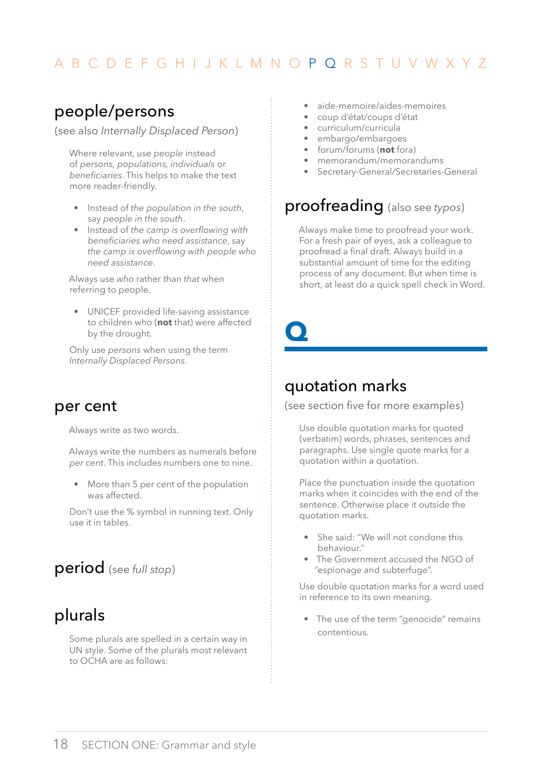## <span id="page-19-0"></span>people/persons

(see also *Internally Displaced Person*)

Where relevant, use *people* instead of *persons, populations, individuals* or *beneficiaries*. This helps to make the text more reader-friendly.

- Instead of *the population in the south*, say *people in the south*.
- Instead of *the camp is overflowing with beneficiaries who need assistance*, say *the camp is overflowing with people who need assistance*.

Always use *who* rather than *that* when referring to people.

• UNICEF provided life-saving assistance to children who (**not** that) were affected by the drought.

Only use *persons* when using the term *Internally Displaced Persons*.

#### per cent

Always write as two words.

Always write the numbers as numerals before *per cent*. This includes numbers one to nine.

• More than 5 per cent of the population was affected.

Don't use the % symbol in running text. Only use it in tables.

#### period (see *full stop*)

# plurals

Some plurals are spelled in a certain way in UN style. Some of the plurals most relevant to OCHA are as follows:

- aide-memoire/aides-memoires
- coup d'état/coups d'état
- curriculum/curricula
- embargo/embargoes
- forum/forums (**not** fora)
- memorandum/memorandums
- Secretary-General/Secretaries-General

#### proofreading (also see *typos*)

Always make time to proofread your work. For a fresh pair of eyes, ask a colleague to proofread a final draft. Always build in a substantial amount of time for the editing process of any document. But when time is short, at least do a quick spell check in Word.

**Q**

# quotation marks

(see section five for more examples)

Use double quotation marks for quoted (verbatim) words, phrases, sentences and paragraphs. Use single quote marks for a quotation within a quotation.

Place the punctuation inside the quotation marks when it coincides with the end of the sentence. Otherwise place it outside the quotation marks.

- She said: "We will not condone this behaviour."
- The Government accused the NGO of "espionage and subterfuge".

Use double quotation marks for a word used in reference to its own meaning.

• The use of the term "genocide" remains contentious.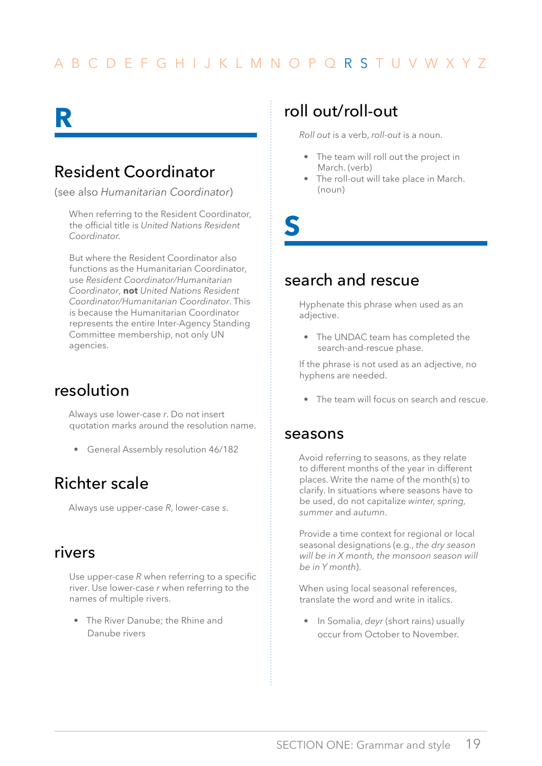# <span id="page-20-0"></span>**R**

# Resident Coordinator

(see also *Humanitarian Coordinator*)

When referring to the Resident Coordinator, the official title is *United Nations Resident Coordinator.*

But where the Resident Coordinator also functions as the Humanitarian Coordinator, use *Resident Coordinator/Humanitarian Coordinator*, **not** *United Nations Resident Coordinator/Humanitarian Coordinator*. This is because the Humanitarian Coordinator represents the entire Inter-Agency Standing Committee membership, not only UN agencies.

### resolution

Always use lower-case *r*. Do not insert quotation marks around the resolution name.

• General Assembly resolution 46/182

# Richter scale

Always use upper-case *R*, lower-case *s*.

#### rivers

Use upper-case *R* when referring to a specific river. Use lower-case *r* when referring to the names of multiple rivers.

• The River Danube; the Rhine and Danube rivers

# roll out/roll-out

*Roll out* is a verb, *roll-out* is a noun.

- The team will roll out the project in March. (verb)
- The roll-out will take place in March. (noun)

**S**

### search and rescue

Hyphenate this phrase when used as an adjective.

• The UNDAC team has completed the search-and-rescue phase.

If the phrase is not used as an adjective, no hyphens are needed.

The team will focus on search and rescue.

#### seasons

Avoid referring to seasons, as they relate to different months of the year in different places. Write the name of the month(s) to clarify. In situations where seasons have to be used, do not capitalize *winter, spring, summer* and *autumn*.

Provide a time context for regional or local seasonal designations (e.g., *the dry season will be in X month, the monsoon season will be in Y month*).

When using local seasonal references, translate the word and write in italics.

• In Somalia, *deyr* (short rains) usually occur from October to November.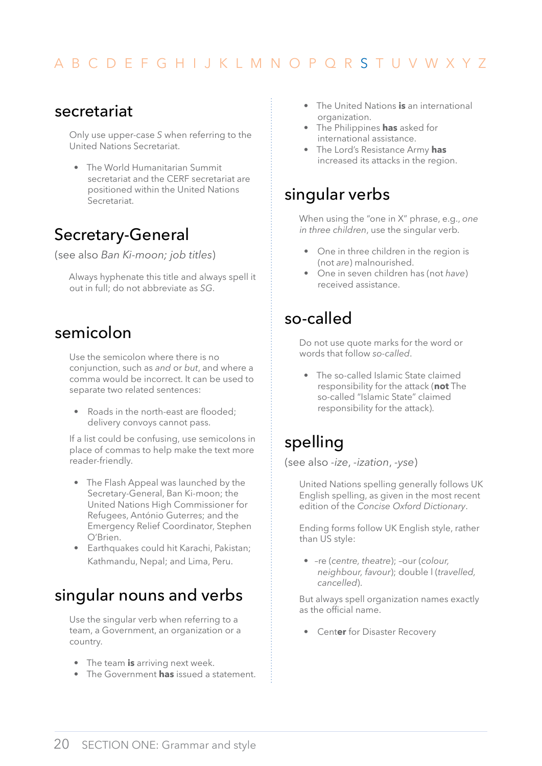#### <span id="page-21-0"></span>secretariat

Only use upper-case *S* when referring to the United Nations Secretariat.

• The World Humanitarian Summit secretariat and the CERF secretariat are positioned within the United Nations Secretariat.

# Secretary-General

(see also *Ban Ki-moon; job titles*)

Always hyphenate this title and always spell it out in full; do not abbreviate as *SG*.

### semicolon

Use the semicolon where there is no conjunction, such as *and* or *but*, and where a comma would be incorrect. It can be used to separate two related sentences:

• Roads in the north-east are flooded: delivery convoys cannot pass.

If a list could be confusing, use semicolons in place of commas to help make the text more reader-friendly.

- The Flash Appeal was launched by the Secretary-General, Ban Ki-moon; the United Nations High Commissioner for Refugees, António Guterres; and the Emergency Relief Coordinator, Stephen O'Brien.
- Earthquakes could hit Karachi, Pakistan; Kathmandu, Nepal; and Lima, Peru.

# singular nouns and verbs

Use the singular verb when referring to a team, a Government, an organization or a country.

- The team **is** arriving next week.
- The Government **has** issued a statement.
- The United Nations **is** an international organization.
- The Philippines **has** asked for international assistance.
- The Lord's Resistance Army **has** increased its attacks in the region.

### singular verbs

When using the "one in X" phrase, e.g., *one in three children*, use the singular verb.

- One in three children in the region is (not *are*) malnourished.
- One in seven children has (not *have*) received assistance.

# so-called

Do not use quote marks for the word or words that follow *so-called*.

• The so-called Islamic State claimed responsibility for the attack (**not** The so-called "Islamic State" claimed responsibility for the attack).

# spelling

(see also *-ize*, *-ization*, *-yse*)

United Nations spelling generally follows UK English spelling, as given in the most recent edition of the *Concise Oxford Dictionary*.

Ending forms follow UK English style, rather than US style:

• –re (*centre, theatre*); –our (*colour, neighbour, favour*); double l (*travelled, cancelled*).

But always spell organization names exactly as the official name.

• Cent**er** for Disaster Recovery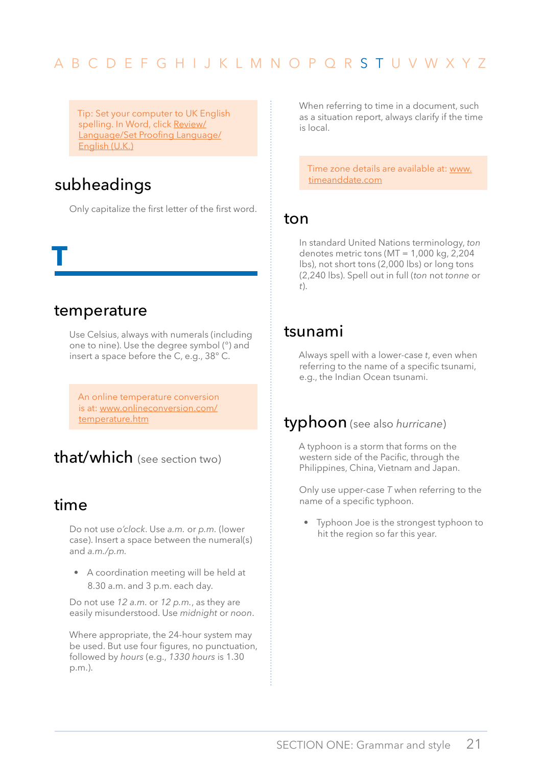<span id="page-22-0"></span>Tip: Set your computer to UK English spelling. In Word, click Review/ Language/Set Proofing Language/ English (U.K.)

## subheadings

Only capitalize the first letter of the first word.

#### temperature

**T**

Use Celsius, always with numerals (including one to nine). Use the degree symbol (°) and insert a space before the C, e.g., 38° C.

An online temperature conversion is at: [www.onlineconversion.com/](www.onlineconversion.com/temperature.htm) [temperature.htm](www.onlineconversion.com/temperature.htm)

# that/which (see section two)

#### time

Do not use *o'clock*. Use *a.m.* or *p.m.* (lower case). Insert a space between the numeral(s) and *a.m./p.m.* 

• A coordination meeting will be held at 8.30 a.m. and 3 p.m. each day.

Do not use *12 a.m.* or *12 p.m.*, as they are easily misunderstood. Use *midnight* or *noon*.

Where appropriate, the 24-hour system may be used. But use four figures, no punctuation, followed by *hours* (e.g., *1330 hours* is 1.30 p.m.).

When referring to time in a document, such as a situation report, always clarify if the time is local.

Time zone details are available at: [www.](www.timeanddate.com) [timeanddate.com](www.timeanddate.com)

#### ton

In standard United Nations terminology, *ton* denotes metric tons (MT = 1,000 kg, 2,204 lbs), not short tons (2,000 lbs) or long tons (2,240 lbs). Spell out in full (*ton* not *tonne* or *t*).

#### tsunami

Always spell with a lower-case *t*, even when referring to the name of a specific tsunami, e.g., the Indian Ocean tsunami.

#### typhoon (see also *hurricane*)

A typhoon is a storm that forms on the western side of the Pacific, through the Philippines, China, Vietnam and Japan.

Only use upper-case *T* when referring to the name of a specific typhoon.

• Typhoon Joe is the strongest typhoon to hit the region so far this year.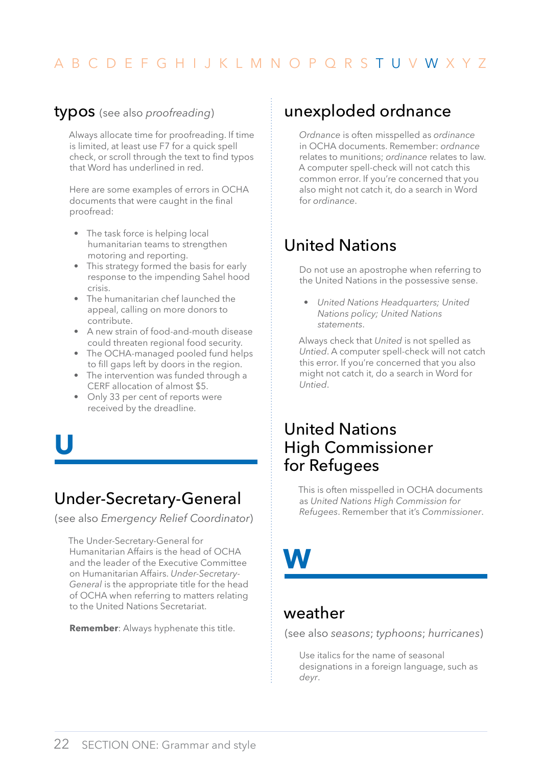#### <span id="page-23-0"></span>typos (see also *proofreading*)

Always allocate time for proofreading. If time is limited, at least use F7 for a quick spell check, or scroll through the text to find typos that Word has underlined in red.

Here are some examples of errors in OCHA documents that were caught in the final proofread:

- The task force is helping local humanitarian teams to strengthen motoring and reporting.
- This strategy formed the basis for early response to the impending Sahel hood crisis.
- The humanitarian chef launched the appeal, calling on more donors to contribute.
- A new strain of food-and-mouth disease could threaten regional food security.
- The OCHA-managed pooled fund helps to fill gaps left by doors in the region.
- The intervention was funded through a CERF allocation of almost \$5.
- Only 33 per cent of reports were received by the dreadline.
- **U**

# Under-Secretary-General

(see also *Emergency Relief Coordinator*)

The Under-Secretary-General for Humanitarian Affairs is the head of OCHA and the leader of the Executive Committee on Humanitarian Affairs. *Under-Secretary-General* is the appropriate title for the head of OCHA when referring to matters relating to the United Nations Secretariat.

**Remember**: Always hyphenate this title.

## unexploded ordnance

*Ordnance* is often misspelled as *ordinance* in OCHA documents. Remember: *ordnance* relates to munitions; *ordinance* relates to law. A computer spell-check will not catch this common error. If you're concerned that you also might not catch it, do a search in Word for *ordinance*.

# United Nations

Do not use an apostrophe when referring to the United Nations in the possessive sense.

• *United Nations Headquarters; United Nations policy; United Nations statements*.

Always check that *United* is not spelled as *Untied*. A computer spell-check will not catch this error. If you're concerned that you also might not catch it, do a search in Word for *Untied*.

### United Nations High Commissioner for Refugees

This is often misspelled in OCHA documents as *United Nations High Commission for Refugees*. Remember that it's *Commissioner*.

# **W**

#### weather

(see also *seasons*; *typhoons*; *hurricanes*)

Use italics for the name of seasonal designations in a foreign language, such as *deyr*.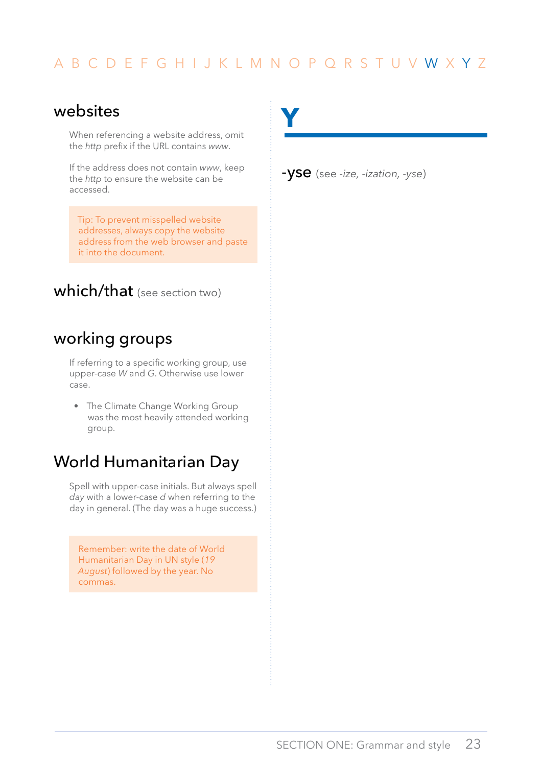#### <span id="page-24-0"></span>websites

When referencing a website address, omit the *http* prefix if the URL contains *www*.

If the address does not contain *www*, keep the *http* to ensure the website can be accessed.

Tip: To prevent misspelled website addresses, always copy the website address from the web browser and paste it into the document.

which/that (see section two)

# working groups

If referring to a specific working group, use upper-case *W* and *G*. Otherwise use lower case.

• The Climate Change Working Group was the most heavily attended working group.

### World Humanitarian Day

Spell with upper-case initials. But always spell *day* with a lower-case *d* when referring to the day in general. (The day was a huge success.)

Remember: write the date of World Humanitarian Day in UN style (*19 August*) followed by the year. No commas.

**Y**

-yse (see *-ize, -ization, -yse*)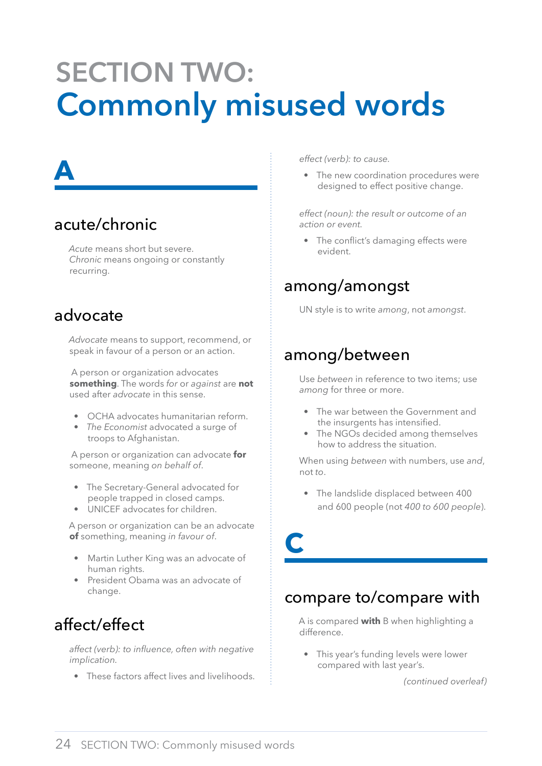# <span id="page-25-0"></span>**Section two: Commonly misused words**

# **A**

# acute/chronic

*Acute* means short but severe. *Chronic* means ongoing or constantly recurring.

# advocate

*Advocate* means to support, recommend, or speak in favour of a person or an action.

 A person or organization advocates **something**. The words *for* or *against* are **not** used after *advocate* in this sense.

- OCHA advocates humanitarian reform.
- *The Economist* advocated a surge of troops to Afghanistan.

 A person or organization can advocate **for** someone, meaning *on behalf of*.

- The Secretary-General advocated for people trapped in closed camps.
- UNICEF advocates for children.

A person or organization can be an advocate **of** something, meaning *in favour of*.

- Martin Luther King was an advocate of human rights.
- President Obama was an advocate of change.

# affect/effect

*affect (verb): to influence, often with negative implication.* 

• These factors affect lives and livelihoods.

*effect (verb): to cause.*

• The new coordination procedures were designed to effect positive change.

*effect (noun): the result or outcome of an action or event.* 

• The conflict's damaging effects were evident.

# among/amongst

UN style is to write *among*, not *amongst*.

### among/between

**C**

Use *between* in reference to two items; use *among* for three or more.

- The war between the Government and the insurgents has intensified.
- The NGOs decided among themselves how to address the situation.

When using *between* with numbers, use *and*, not *to*.

• The landslide displaced between 400 and 600 people (not *400 to 600 people*).

compare to/compare with

A is compared **with** B when highlighting a difference.

• This year's funding levels were lower compared with last year's.

*(continued overleaf)*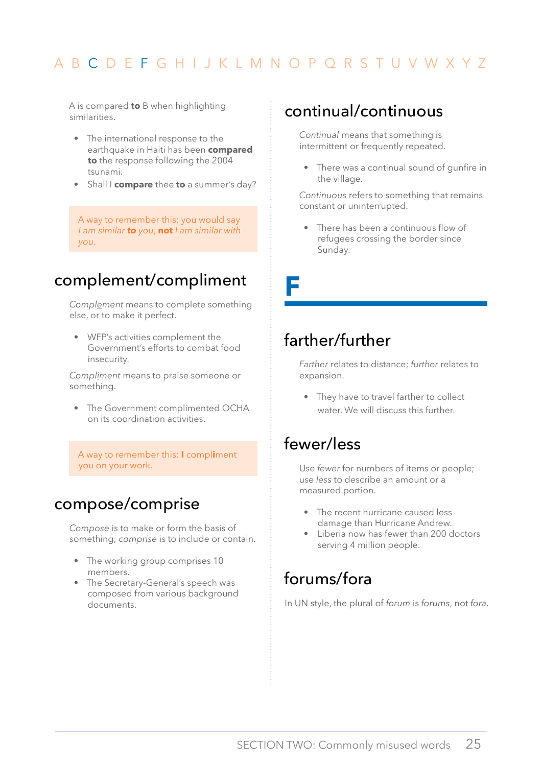<span id="page-26-0"></span>A is compared **to** B when highlighting similarities.

- The international response to the earthquake in Haiti has been **compared to** the response following the 2004 tsunami.
- Shall I **compare** thee **to** a summer's day?

A way to remember this: you would say *I am similar to you*, **not** *I am similar with you*.

### complement/compliment

*Complement* means to complete something else, or to make it perfect.

• WFP's activities complement the Government's efforts to combat food insecurity.

*Compliment* means to praise someone or something.

• The Government complimented OCHA on its coordination activities.

A way to remember this: **I** compl**i**ment you on your work.

#### compose/comprise

*Compose* is to make or form the basis of something; *comprise* is to include or contain.

- The working group comprises 10 members.
- The Secretary-General's speech was composed from various background documents.

#### continual/continuous

*Continual* means that something is intermittent or frequently repeated.

• There was a continual sound of gunfire in the village.

*Continuous* refers to something that remains constant or uninterrupted.

• There has been a continuous flow of refugees crossing the border since Sunday.

**F**

# farther/further

*Farther* relates to distance; *further* relates to expansion.

• They have to travel farther to collect water. We will discuss this further.

# fewer/less

Use *fewer* for numbers of items or people; use *less* to describe an amount or a measured portion.

- The recent hurricane caused less damage than Hurricane Andrew.
- Liberia now has fewer than 200 doctors serving 4 million people.

### forums/fora

In UN style, the plural of *forum* is *forums*, not *fora*.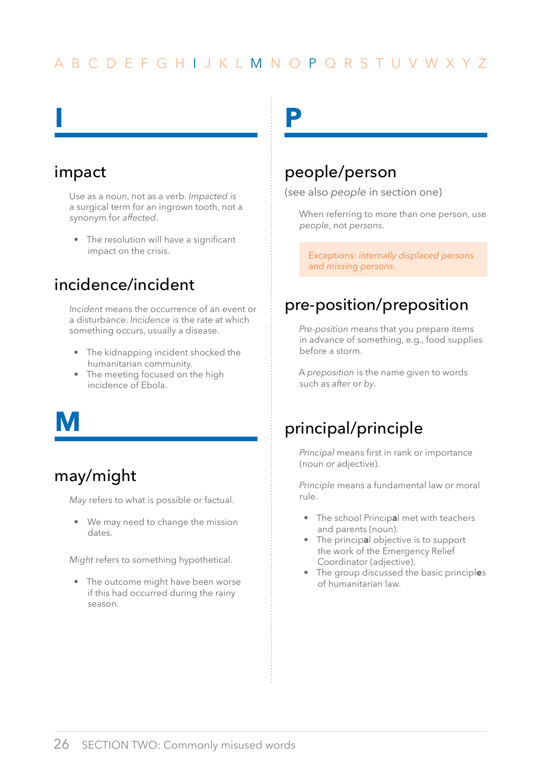#### impact

<span id="page-27-0"></span>**I**

Use as a noun, not as a verb. *Impacted* is a surgical term for an ingrown tooth, not a synonym for *affected*.

• The resolution will have a significant impact on the crisis.

# incidence/incident

*Incident* means the occurrence of an event or a disturbance. *Incidence* is the rate at which something occurs, usually a disease.

- The kidnapping incident shocked the humanitarian community.
- The meeting focused on the high incidence of Ebola.

**m**

# may/might

*May* refers to what is possible or factual.

• We may need to change the mission dates.

*Might* refers to something hypothetical.

• The outcome might have been worse if this had occurred during the rainy season.

**p**

# people/person

(see also *people* in section one)

When referring to more than one person, use *people*, not *persons*.

Exceptions: *internally displaced persons* and *missing persons*.

# pre-position/preposition

*Pre-position* means that you prepare items in advance of something, e.g., food supplies before a storm.

A *preposition* is the name given to words such as *after* or *by*.

# principal/principle

*Principal* means first in rank or importance (noun or adjective).

*Principle* means a fundamental law or moral rule.

- The school Princip**a**l met with teachers and parents (noun).
- The princip**a**l objective is to support the work of the Emergency Relief Coordinator (adjective).
- The group discussed the basic principl**e**s of humanitarian law.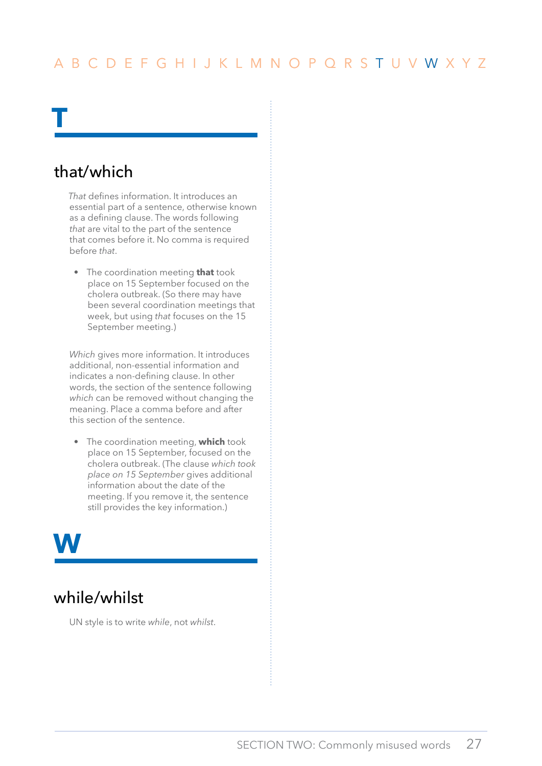# that/which

<span id="page-28-0"></span>**t**

*That* defines information. It introduces an essential part of a sentence, otherwise known as a defining clause. The words following *that* are vital to the part of the sentence that comes before it. No comma is required before *that*.

• The coordination meeting **that** took place on 15 September focused on the cholera outbreak. (So there may have been several coordination meetings that week, but using *that* focuses on the 15 September meeting.)

*Which* gives more information. It introduces additional, non-essential information and indicates a non-defining clause. In other words, the section of the sentence following *which* can be removed without changing the meaning. Place a comma before and after this section of the sentence.

• The coordination meeting, **which** took place on 15 September, focused on the cholera outbreak. (The clause *which took place on 15 September* gives additional information about the date of the meeting. If you remove it, the sentence still provides the key information.)

# **w**

# while/whilst

UN style is to write *while*, not *whilst*.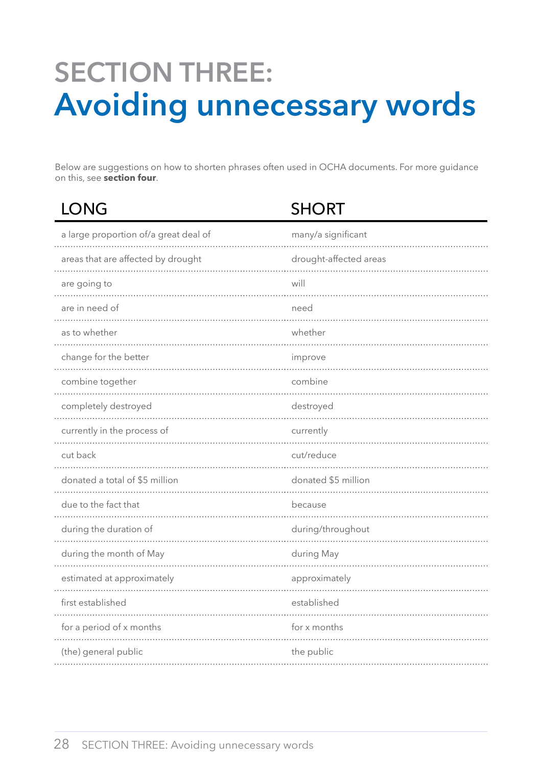# <span id="page-29-0"></span>**Section three: Avoiding unnecessary words**

Below are suggestions on how to shorten phrases often used in OCHA documents. For more guidance on this, see **section four**.

| <b>LONG</b>                           | <b>SHORT</b>           |
|---------------------------------------|------------------------|
| a large proportion of/a great deal of | many/a significant     |
| areas that are affected by drought    | drought-affected areas |
| are going to                          | will                   |
| are in need of                        | need                   |
| as to whether                         | whether                |
| change for the better                 | improve                |
| combine together                      | combine                |
| completely destroyed                  | destroyed              |
| currently in the process of           | currently              |
| cut back                              | cut/reduce             |
| donated a total of \$5 million<br>.   | donated \$5 million    |
| due to the fact that                  | because                |
| during the duration of                | during/throughout      |
| during the month of May               | during May             |
| estimated at approximately            | approximately          |
| first established                     | established            |
| for a period of x months              | for x months           |
| (the) general public                  | the public             |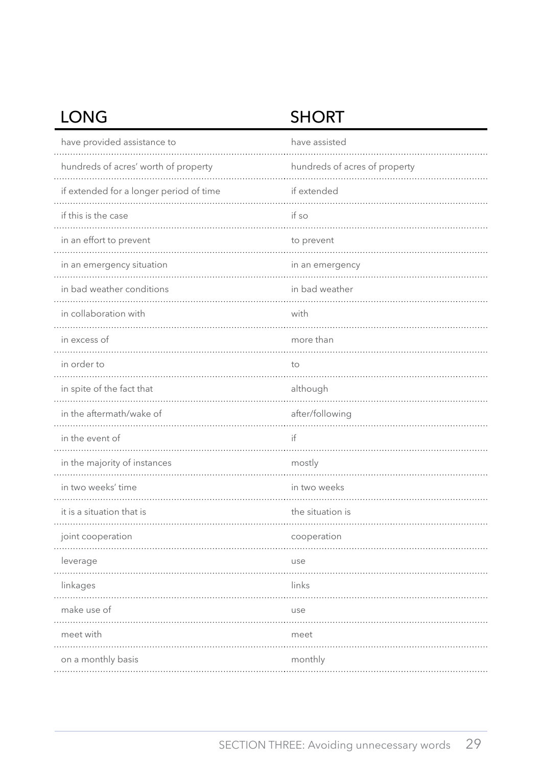# LONG SHORT

| have provided assistance to             | have assisted                 |
|-----------------------------------------|-------------------------------|
| hundreds of acres' worth of property    | hundreds of acres of property |
| if extended for a longer period of time | if extended                   |
| if this is the case                     | if so                         |
| in an effort to prevent                 | to prevent                    |
| in an emergency situation               | in an emergency               |
| in bad weather conditions               | in bad weather                |
| in collaboration with                   | with                          |
| in excess of                            | more than                     |
| in order to                             | to                            |
| in spite of the fact that               | although                      |
| in the aftermath/wake of                | after/following               |
| in the event of                         | if                            |
| in the majority of instances            | mostly                        |
| in two weeks' time                      | in two weeks                  |
| it is a situation that is               | the situation is              |
| joint cooperation                       | cooperation                   |
| leverage                                | use                           |
| linkages                                | links                         |
| make use of                             | use                           |
| meet with                               | meet                          |
| on a monthly basis                      | monthly                       |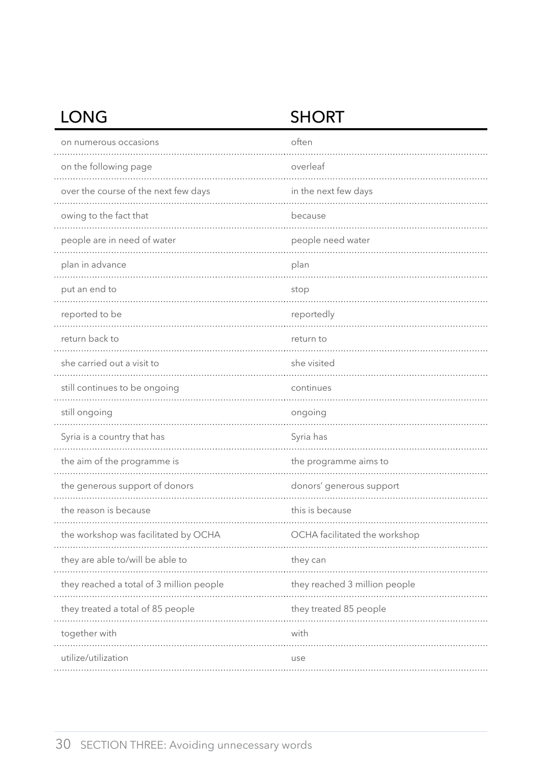# LONG SHORT

| on numerous occasions                    | often                         |
|------------------------------------------|-------------------------------|
| on the following page                    | overleaf                      |
| over the course of the next few days     | in the next few days          |
| owing to the fact that                   | because                       |
| people are in need of water              | people need water             |
| plan in advance                          | plan                          |
| put an end to                            | stop                          |
| reported to be                           | reportedly                    |
| return back to                           | return to                     |
| she carried out a visit to               | she visited                   |
| still continues to be ongoing            | continues                     |
| still ongoing                            | ongoing                       |
| Syria is a country that has              | Syria has                     |
| the aim of the programme is              | the programme aims to         |
| the generous support of donors           | donors' generous support      |
| the reason is because                    | this is because               |
| the workshop was facilitated by OCHA     | OCHA facilitated the workshop |
| they are able to/will be able to         | they can                      |
| they reached a total of 3 million people | they reached 3 million people |
| they treated a total of 85 people        | they treated 85 people        |
| together with                            | with                          |
| utilize/utilization                      | use                           |
|                                          |                               |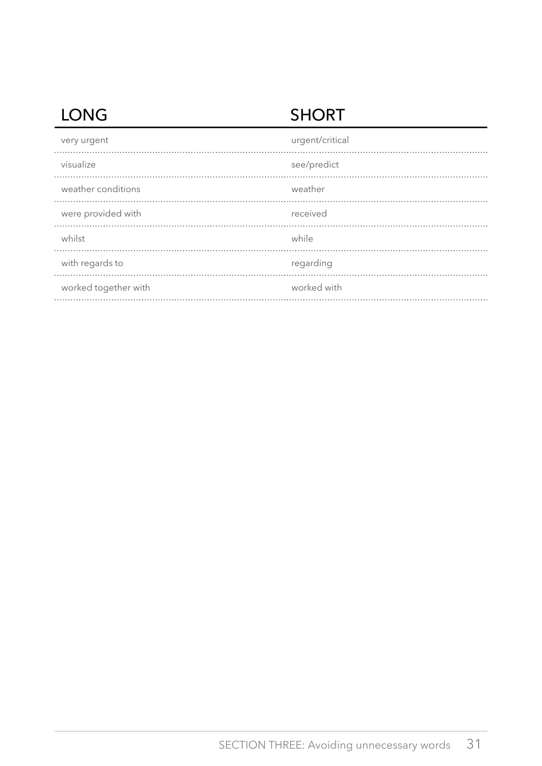# LONG SHORT

| very urgent          | urgent/critical |
|----------------------|-----------------|
| visualize            | see/predict     |
| weather conditions   | weather         |
| were provided with   | received        |
| whilst               | while           |
| with regards to      | regarding       |
| worked together with | worked with     |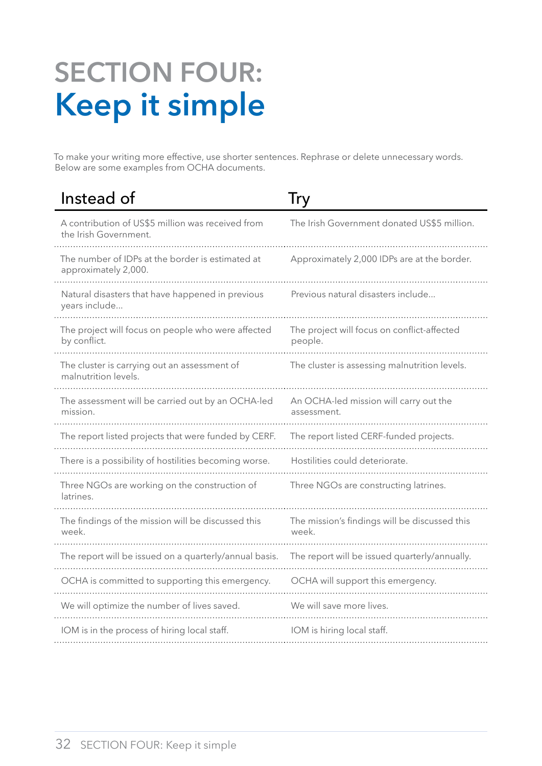# <span id="page-33-0"></span>**Section four: Keep it simple**

To make your writing more effective, use shorter sentences. Rephrase or delete unnecessary words. Below are some examples from OCHA documents.

| Instead of                                                                 | <b>Try</b>                                             |
|----------------------------------------------------------------------------|--------------------------------------------------------|
| A contribution of US\$5 million was received from<br>the Irish Government. | The Irish Government donated US\$5 million.            |
| The number of IDPs at the border is estimated at<br>approximately 2,000.   | Approximately 2,000 IDPs are at the border.            |
| Natural disasters that have happened in previous<br>years include          | Previous natural disasters include                     |
| The project will focus on people who were affected<br>by conflict.         | The project will focus on conflict-affected<br>people. |
| The cluster is carrying out an assessment of<br>malnutrition levels.       | The cluster is assessing malnutrition levels.          |
| The assessment will be carried out by an OCHA-led<br>mission.              | An OCHA-led mission will carry out the<br>assessment.  |
| The report listed projects that were funded by CERF.                       | The report listed CERF-funded projects.                |
| There is a possibility of hostilities becoming worse.                      | Hostilities could deteriorate.                         |
| Three NGOs are working on the construction of<br>latrines.                 | Three NGOs are constructing latrines.                  |
| The findings of the mission will be discussed this<br>week.                | The mission's findings will be discussed this<br>week. |
| The report will be issued on a quarterly/annual basis.                     | The report will be issued quarterly/annually.          |
| OCHA is committed to supporting this emergency.                            | OCHA will support this emergency.                      |
| We will optimize the number of lives saved.                                | We will save more lives.                               |
| IOM is in the process of hiring local staff.                               | IOM is hiring local staff.                             |
|                                                                            |                                                        |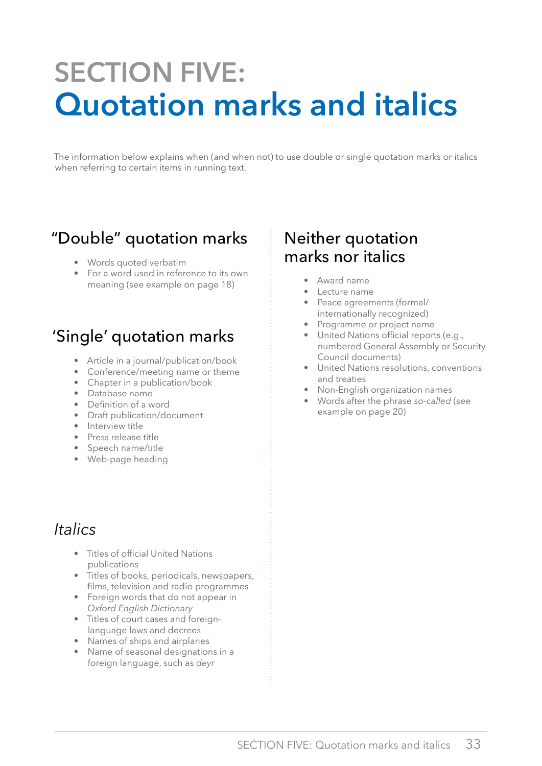# <span id="page-34-0"></span>**Section five: Quotation marks and italics**

The information below explains when (and when not) to use double or single quotation marks or italics when referring to certain items in running text.

# "Double" quotation marks

- Words quoted verbatim
- For a word used in reference to its own meaning (see example on page 18)

# 'Single' quotation marks

- Article in a journal/publication/book
- Conference/meeting name or theme
- Chapter in a publication/book
- Database name
- Definition of a word
- Draft publication/document
- Interview title
- Press release title
- Speech name/title
- Web-page heading

# *Italics*

- Titles of official United Nations publications
- Titles of books, periodicals, newspapers, films, television and radio programmes
- Foreign words that do not appear in *Oxford English Dictionary*
- Titles of court cases and foreignlanguage laws and decrees
- Names of ships and airplanes
- Name of seasonal designations in a foreign language, such as *deyr*

# Neither quotation marks nor italics

- Award name
- Lecture name
- Peace agreements (formal/ internationally recognized)
- Programme or project name
- United Nations official reports (e.g., numbered General Assembly or Security Council documents)
- United Nations resolutions, conventions and treaties
- Non-English organization names
- Words after the phrase *so-called* (see example on page 20)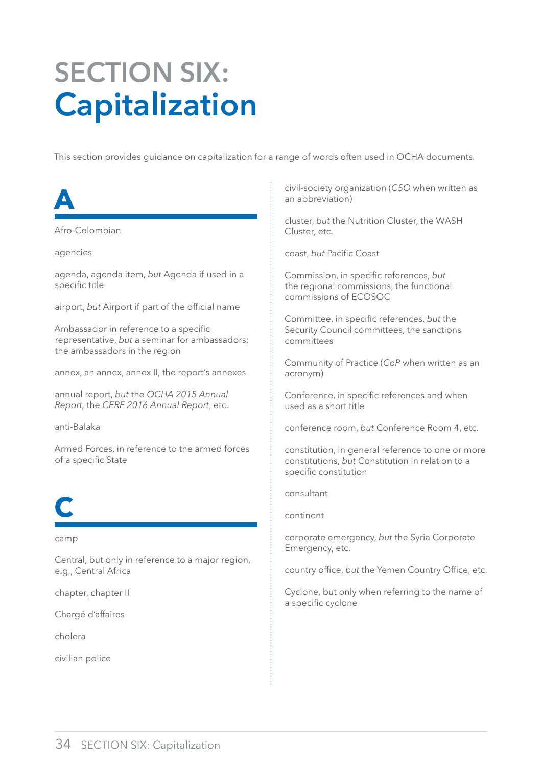# <span id="page-35-0"></span>**Section six: Capitalization**

This section provides guidance on capitalization for a range of words often used in OCHA documents.

**A**

Afro-Colombian

agencies

agenda, agenda item, *but* Agenda if used in a specific title

airport, *but* Airport if part of the official name

Ambassador in reference to a specific representative, *but* a seminar for ambassadors; the ambassadors in the region

annex, an annex, annex II, the report's annexes

annual report, *but* the *OCHA 2015 Annual Report,* the *CERF 2016 Annual Report*, etc.

anti-Balaka

Armed Forces, in reference to the armed forces of a specific State



camp

Central, but only in reference to a major region, e.g., Central Africa

chapter, chapter II

Chargé d'affaires

cholera

civilian police

civil-society organization (*CSO* when written as an abbreviation)

cluster, *but* the Nutrition Cluster, the WASH Cluster, etc.

coast, *but* Pacific Coast

Commission, in specific references, *but* the regional commissions, the functional commissions of ECOSOC

Committee, in specific references, *but* the Security Council committees, the sanctions committees

Community of Practice (*CoP* when written as an acronym)

Conference, in specific references and when used as a short title

conference room, *but* Conference Room 4, etc.

constitution, in general reference to one or more constitutions, *but* Constitution in relation to a specific constitution

consultant

continent

corporate emergency, *but* the Syria Corporate Emergency, etc.

country office, *but* the Yemen Country Office, etc.

Cyclone, but only when referring to the name of a specific cyclone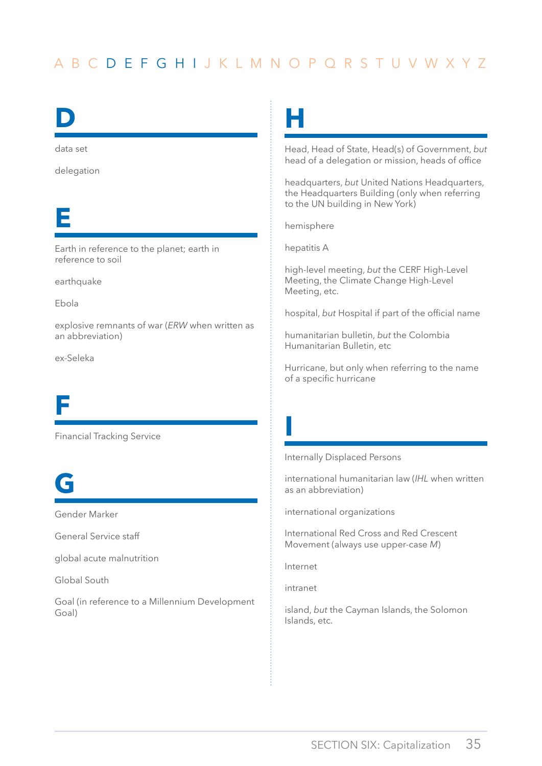# <span id="page-36-0"></span>**D**

data set

delegation

# **E**

Earth in reference to the planet; earth in reference to soil

earthquake

Ebola

explosive remnants of war (*ERW* when written as an abbreviation)

ex-Seleka

# **F**

Financial Tracking Service

# **G**

Gender Marker

General Service staff

global acute malnutrition

Global South

Goal (in reference to a Millennium Development Goal)

**H**

Head, Head of State, Head(s) of Government, *but* head of a delegation or mission, heads of office

headquarters, *but* United Nations Headquarters, the Headquarters Building (only when referring to the UN building in New York)

hemisphere

hepatitis A

high-level meeting, *but* the CERF High-Level Meeting, the Climate Change High-Level Meeting, etc.

hospital, *but* Hospital if part of the official name

humanitarian bulletin, *but* the Colombia Humanitarian Bulletin, etc

Hurricane, but only when referring to the name of a specific hurricane

Internally Displaced Persons

international humanitarian law (*IHL* when written as an abbreviation)

international organizations

International Red Cross and Red Crescent Movement (always use upper-case *M*)

Internet

**I**

intranet

island, *but* the Cayman Islands, the Solomon Islands, etc.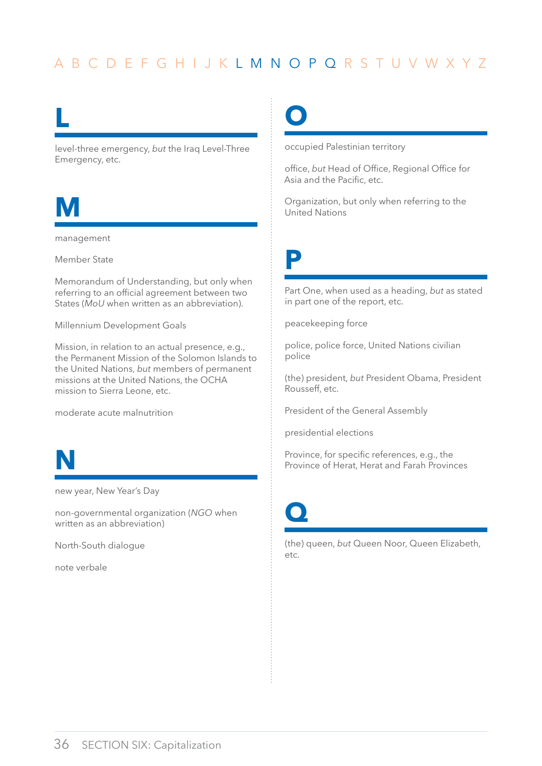# <span id="page-37-0"></span>**L**

level-three emergency, *but* the Iraq Level-Three Emergency, etc.



management

Member State

Memorandum of Understanding, but only when referring to an official agreement between two States (*MoU* when written as an abbreviation).

Millennium Development Goals

Mission, in relation to an actual presence, e.g., the Permanent Mission of the Solomon Islands to the United Nations, *but* members of permanent missions at the United Nations, the OCHA mission to Sierra Leone, etc.

moderate acute malnutrition



new year, New Year's Day

non-governmental organization (*NGO* when written as an abbreviation)

North-South dialogue

note verbale

**O**

occupied Palestinian territory

office, *but* Head of Office, Regional Office for Asia and the Pacific, etc.

Organization, but only when referring to the United Nations

**P**

Part One, when used as a heading, *but* as stated in part one of the report, etc.

peacekeeping force

police, police force, United Nations civilian police

(the) president, *but* President Obama, President Rousseff, etc.

President of the General Assembly

presidential elections

Province, for specific references, e.g., the Province of Herat, Herat and Farah Provinces



(the) queen, *but* Queen Noor, Queen Elizabeth, etc.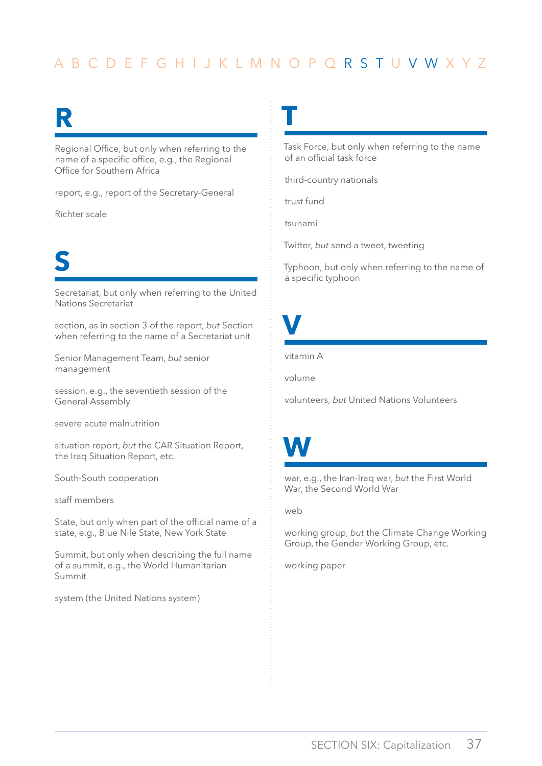**T**

# <span id="page-38-0"></span>**R**

Regional Office, but only when referring to the name of a specific office, e.g., the Regional Office for Southern Africa

report, e.g., report of the Secretary-General

Richter scale

# **S**

Secretariat, but only when referring to the United Nations Secretariat

section, as in section 3 of the report, *but* Section when referring to the name of a Secretariat unit

Senior Management Team, *but* senior management

session, e.g., the seventieth session of the General Assembly

severe acute malnutrition

situation report, *but* the CAR Situation Report, the Iraq Situation Report, etc.

South-South cooperation

staff members

State, but only when part of the official name of a state, e.g., Blue Nile State, New York State

Summit, but only when describing the full name of a summit, e.g., the World Humanitarian Summit

system (the United Nations system)

Task Force, but only when referring to the name of an official task force

third-country nationals

trust fund

tsunami

Twitter, *but* send a tweet, tweeting

Typhoon, but only when referring to the name of a specific typhoon

**V**

vitamin A

volume

volunteers, *but* United Nations Volunteers

# **W**

war, e.g., the Iran-Iraq war, *but* the First World War, the Second World War

web

working group, *but* the Climate Change Working Group, the Gender Working Group, etc.

working paper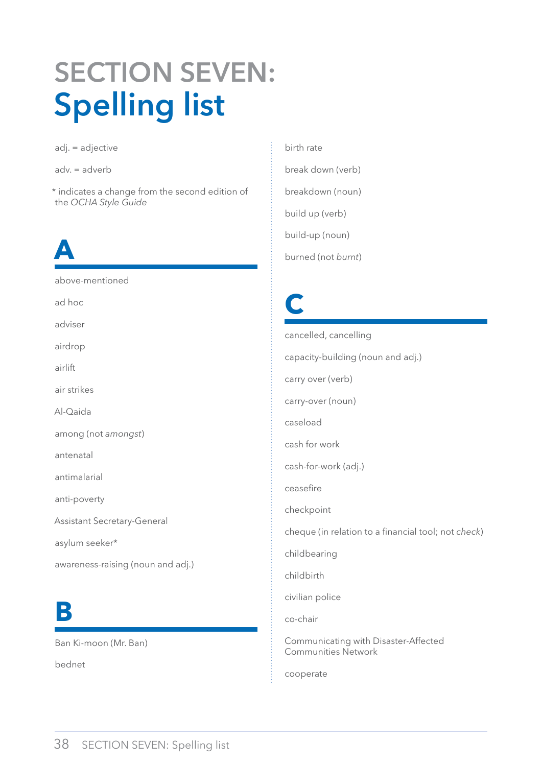# <span id="page-39-0"></span>**Section seven: Spelling list**

adj. = adjective

adv. = adverb

\* indicates a change from the second edition of the *OCHA Style Guide* 

# **A**

above-mentioned ad hoc

adviser

airdrop

airlift

air strikes

Al-Qaida

among (not *amongst*)

antenatal

antimalarial

anti-poverty

Assistant Secretary-General

asylum seeker\*

awareness-raising (noun and adj.)

# **B**

Ban Ki-moon (Mr. Ban)

bednet

birth rate break down (verb) breakdown (noun) build up (verb) build-up (noun) burned (not *burnt*)

# **C**

cancelled, cancelling capacity-building (noun and adj.) carry over (verb) carry-over (noun) caseload cash for work cash-for-work (adj.) ceasefire checkpoint cheque (in relation to a financial tool; not *check*) childbearing childbirth civilian police co-chair Communicating with Disaster-Affected Communities Network

cooperate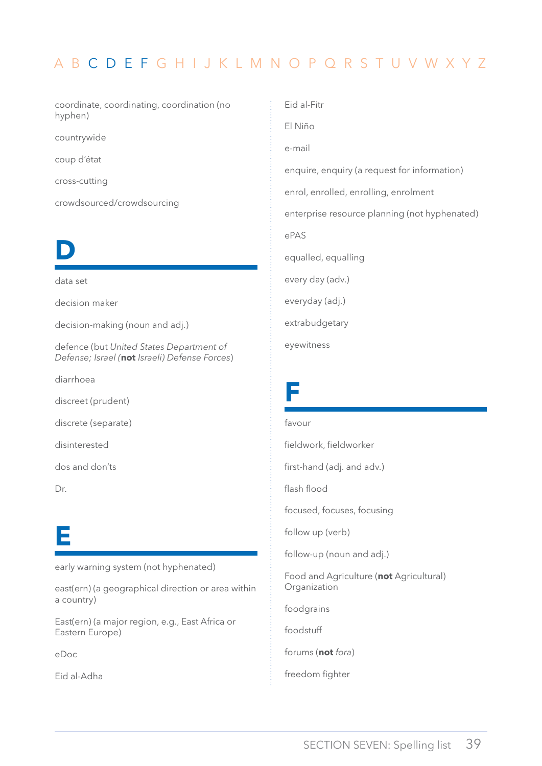<span id="page-40-0"></span>coordinate, coordinating, coordination (no hyphen)

countrywide

coup d'état

cross-cutting

crowdsourced/crowdsourcing



data set

decision maker

decision-making (noun and adj.)

defence (but *United States Department of Defense; Israel (***not** *Israeli) Defense Forces*)

diarrhoea

discreet (prudent)

discrete (separate)

disinterested

dos and don'ts

Dr.

# **E**

early warning system (not hyphenated)

east(ern) (a geographical direction or area within a country)

East(ern) (a major region, e.g., East Africa or Eastern Europe)

eDoc

Eid al-Adha

Eid al-Fitr El Niño e-mail enquire, enquiry (a request for information) enrol, enrolled, enrolling, enrolment enterprise resource planning (not hyphenated) ePAS equalled, equalling every day (adv.) everyday (adj.) extrabudgetary eyewitness

# **F**

#### favour fieldwork, fieldworker

first-hand (adj. and adv.)

flash flood

focused, focuses, focusing

follow up (verb)

follow-up (noun and adj.)

Food and Agriculture (**not** Agricultural) Organization

foodgrains

foodstuff

forums (**not** *fora*)

freedom fighter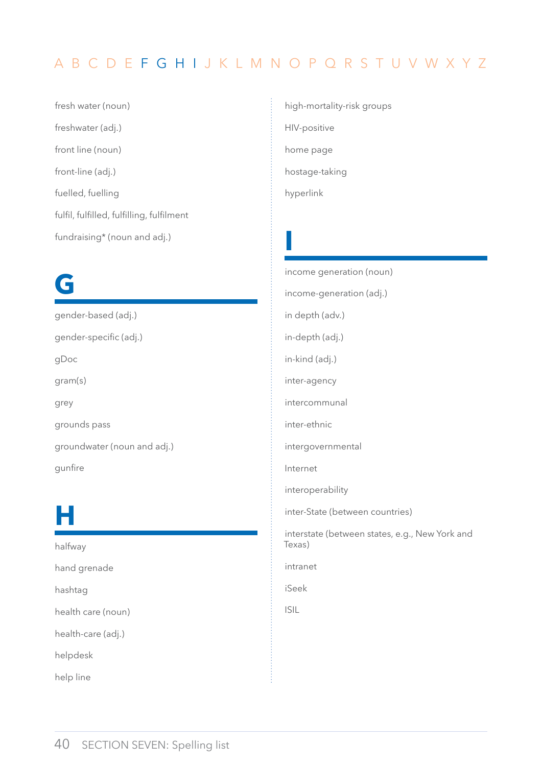**I**

<span id="page-41-0"></span>fresh water (noun) freshwater (adj.) front line (noun) front-line (adj.) fuelled, fuelling fulfil, fulfilled, fulfilling, fulfilment fundraising\* (noun and adj.)

# **G**

gender-based (adj.) gender-specific (adj.) gDoc gram(s) grey grounds pass groundwater (noun and adj.) gunfire

# **H**

halfway hand grenade hashtag health care (noun) health-care (adj.) helpdesk help line

high-mortality-risk groups HIV-positive home page hostage-taking hyperlink

income generation (noun) income-generation (adj.) in depth (adv.) in-depth (adj.) in-kind (adj.) inter-agency intercommunal inter-ethnic intergovernmental Internet interoperability inter-State (between countries) interstate (between states, e.g., New York and Texas) intranet iSeek ISIL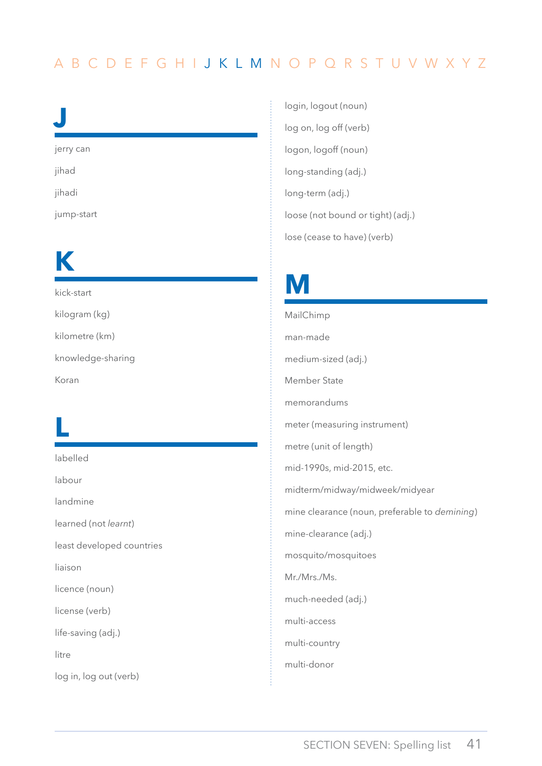# <span id="page-42-0"></span>**J**

jerry can

jihad

jihadi

jump-start

# **K**

kick-start kilogram (kg) kilometre (km) knowledge-sharing Koran

# **L**

labelled

labour

landmine

learned (not *learnt*)

least developed countries

liaison

licence (noun)

license (verb)

life-saving (adj.)

litre

log in, log out (verb)

login, logout (noun) log on, log off (verb) logon, logoff (noun) long-standing (adj.) long-term (adj.) loose (not bound or tight) (adj.) lose (cease to have) (verb)

# **M**

MailChimp man-made medium-sized (adj.) Member State memorandums meter (measuring instrument) metre (unit of length) mid-1990s, mid-2015, etc. midterm/midway/midweek/midyear mine clearance (noun, preferable to *demining*) mine-clearance (adj.) mosquito/mosquitoes Mr./Mrs./Ms. much-needed (adj.) multi-access multi-country multi-donor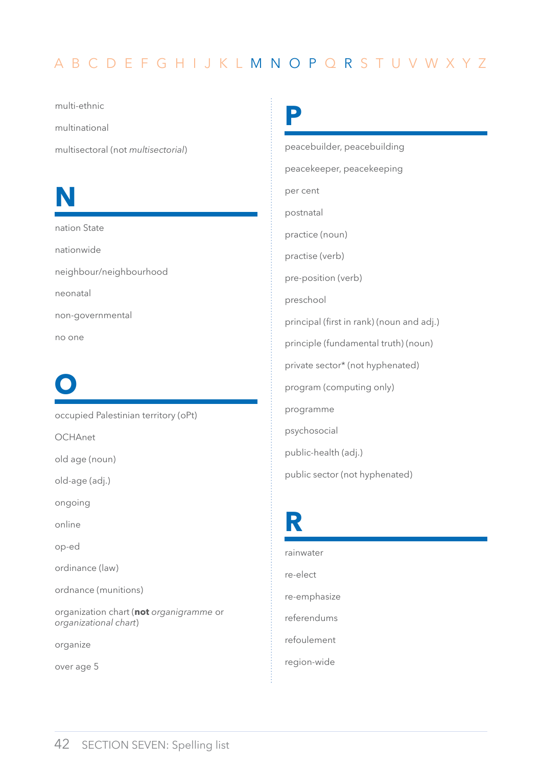<span id="page-43-0"></span>multi-ethnic

multinational

multisectoral (not *multisectorial*)

# **N**

nation State nationwide neighbour/neighbourhood neonatal non-governmental no one

# **O**

occupied Palestinian territory (oPt)

**OCHAnet** 

old age (noun)

old-age (adj.)

ongoing

online

op-ed

ordinance (law)

ordnance (munitions)

organization chart (**not** *organigramme* or *organizational chart*)

organize

over age 5

**P**

peacebuilder, peacebuilding peacekeeper, peacekeeping per cent postnatal practice (noun) practise (verb) pre-position (verb) preschool principal (first in rank) (noun and adj.) principle (fundamental truth) (noun) private sector\* (not hyphenated) program (computing only) programme psychosocial public-health (adj.) public sector (not hyphenated)

# **R**

rainwater re-elect re-emphasize referendums refoulement region-wide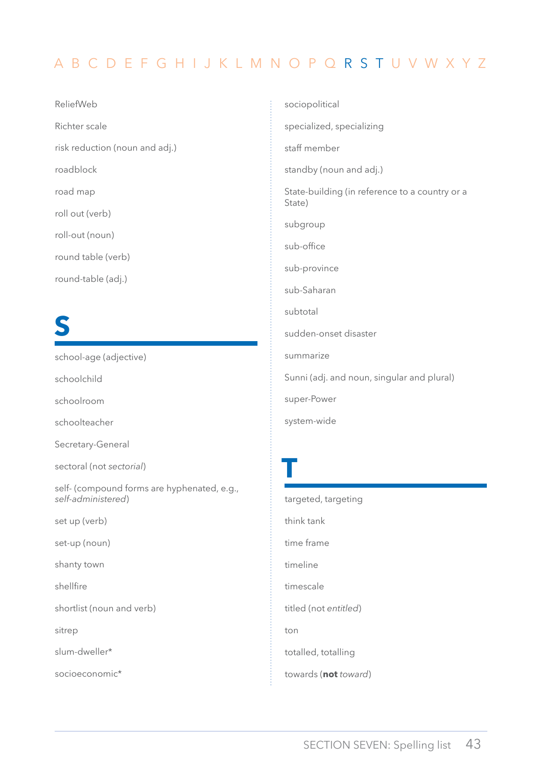<span id="page-44-0"></span>ReliefWeb Richter scale risk reduction (noun and adj.) roadblock road map roll out (verb) roll-out (noun) round table (verb) round-table (adj.)

# **S**

school-age (adjective) schoolchild schoolroom schoolteacher Secretary-General sectoral (not *sectorial*) self- (compound forms are hyphenated, e.g., *self-administered*) set up (verb) set-up (noun) shanty town shellfire shortlist (noun and verb) sitrep slum-dweller\* socioeconomic\*

sociopolitical specialized, specializing staff member standby (noun and adj.) State-building (in reference to a country or a State) subgroup sub-office sub-province sub-Saharan subtotal sudden-onset disaster summarize Sunni (adj. and noun, singular and plural) super-Power system-wide

**T** targeted, targeting think tank time frame timeline timescale titled (not *entitled*) ton totalled, totalling towards (**not** *toward*)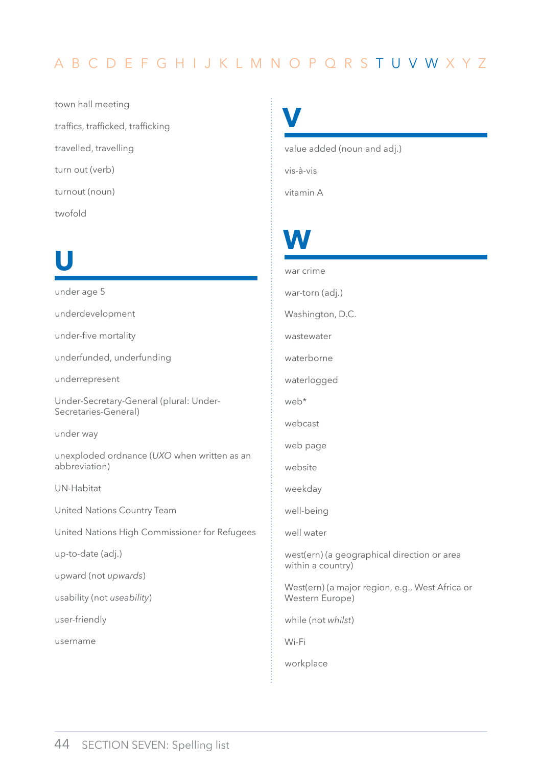<span id="page-45-0"></span>town hall meeting traffics, trafficked, trafficking travelled, travelling turn out (verb) turnout (noun) twofold

# **U**

under age 5 underdevelopment under-five mortality underfunded, underfunding underrepresent Under-Secretary-General (plural: Under-Secretaries-General) under way unexploded ordnance (*UXO* when written as an abbreviation) UN-Habitat United Nations Country Team United Nations High Commissioner for Refugees up-to-date (adj.) upward (not *upwards*) usability (not *useability*) user-friendly username

**V**

value added (noun and adj.)

vis-à-vis

vitamin A

# **W**

war crime war-torn (adj.) Washington, D.C. wastewater waterborne waterlogged web\* webcast web page website weekday well-being well water west(ern) (a geographical direction or area within a country) West(ern) (a major region, e.g., West Africa or Western Europe) while (not *whilst*) Wi-Fi workplace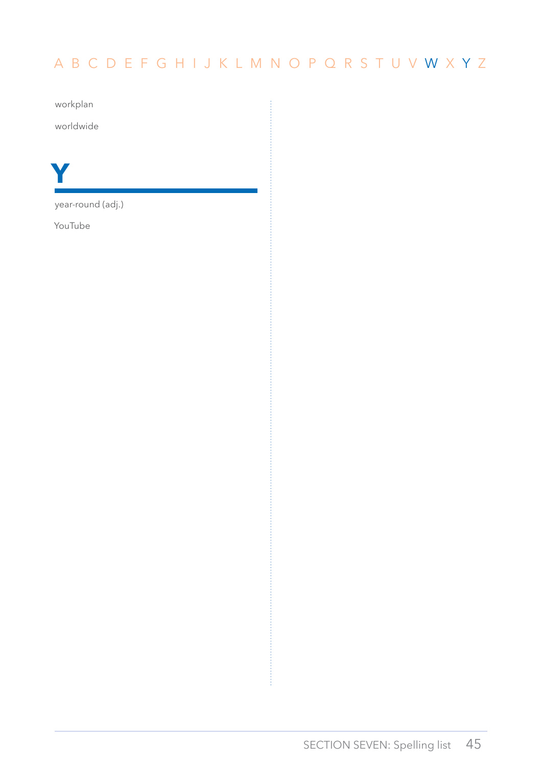<span id="page-46-0"></span>workplan

worldwide



year-round (adj.)

YouTube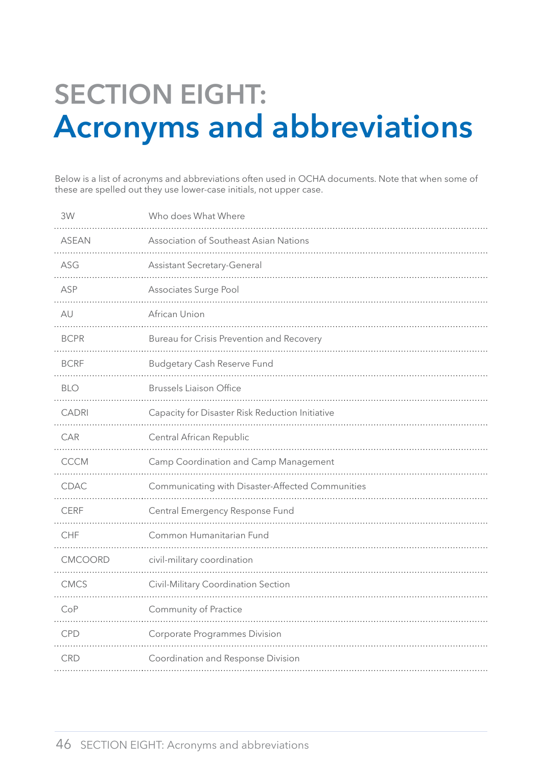# <span id="page-47-0"></span>**Section eight: Acronyms and abbreviations**

Below is a list of acronyms and abbreviations often used in OCHA documents. Note that when some of these are spelled out they use lower-case initials, not upper case.

| 3W           | Who does What Where                              |
|--------------|--------------------------------------------------|
| <b>ASEAN</b> | Association of Southeast Asian Nations           |
| ASG          | <b>Assistant Secretary-General</b>               |
| ASP          | Associates Surge Pool                            |
| AU           | African Union                                    |
| <b>BCPR</b>  | Bureau for Crisis Prevention and Recovery        |
| <b>BCRF</b>  | <b>Budgetary Cash Reserve Fund</b>               |
| <b>BLO</b>   | <b>Brussels Liaison Office</b>                   |
| <b>CADRI</b> | Capacity for Disaster Risk Reduction Initiative  |
| CAR          | Central African Republic                         |
| <b>CCCM</b>  | Camp Coordination and Camp Management            |
| <b>CDAC</b>  | Communicating with Disaster-Affected Communities |
| <b>CERF</b>  | Central Emergency Response Fund                  |
| <b>CHF</b>   | Common Humanitarian Fund                         |
| CMCOORD      | civil-military coordination                      |
| <b>CMCS</b>  | Civil-Military Coordination Section              |
| CoP          | Community of Practice                            |
| <b>CPD</b>   | <b>Corporate Programmes Division</b>             |
| <b>CRD</b>   | Coordination and Response Division               |
|              |                                                  |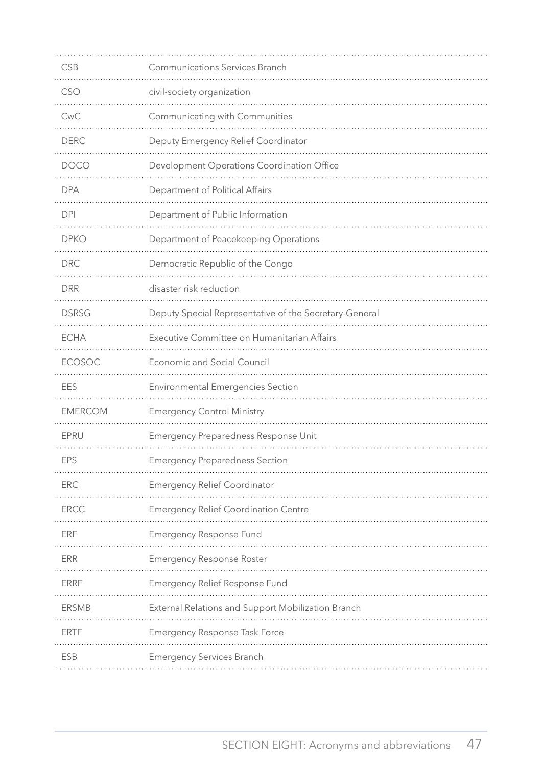<span id="page-48-0"></span>

| <b>CSB</b>     | <b>Communications Services Branch</b>                  |
|----------------|--------------------------------------------------------|
| CSO            | civil-society organization                             |
| CwC            | Communicating with Communities                         |
| <b>DERC</b>    | Deputy Emergency Relief Coordinator                    |
| <b>DOCO</b>    | Development Operations Coordination Office             |
| <b>DPA</b>     | Department of Political Affairs                        |
| <b>DPI</b>     | Department of Public Information                       |
| <b>DPKO</b>    | Department of Peacekeeping Operations                  |
| <b>DRC</b>     | Democratic Republic of the Congo                       |
| <b>DRR</b>     | disaster risk reduction                                |
| <b>DSRSG</b>   | Deputy Special Representative of the Secretary-General |
| <b>ECHA</b>    | Executive Committee on Humanitarian Affairs            |
| <b>ECOSOC</b>  | <b>Economic and Social Council</b>                     |
| EES            | <b>Environmental Emergencies Section</b>               |
| <b>EMERCOM</b> | <b>Emergency Control Ministry</b>                      |
| EPRU           | Emergency Preparedness Response Unit                   |
| EPS            | <b>Emergency Preparedness Section</b>                  |
| <b>ERC</b>     | <b>Emergency Relief Coordinator</b>                    |
| <b>ERCC</b>    | <b>Emergency Relief Coordination Centre</b>            |
| ERF            | <b>Emergency Response Fund</b>                         |
| <b>ERR</b>     | <b>Emergency Response Roster</b>                       |
| <b>ERRF</b>    | Emergency Relief Response Fund                         |
| <b>ERSMB</b>   | External Relations and Support Mobilization Branch     |
| ERTF           | Emergency Response Task Force                          |
| <b>ESB</b>     | <b>Emergency Services Branch</b>                       |
|                |                                                        |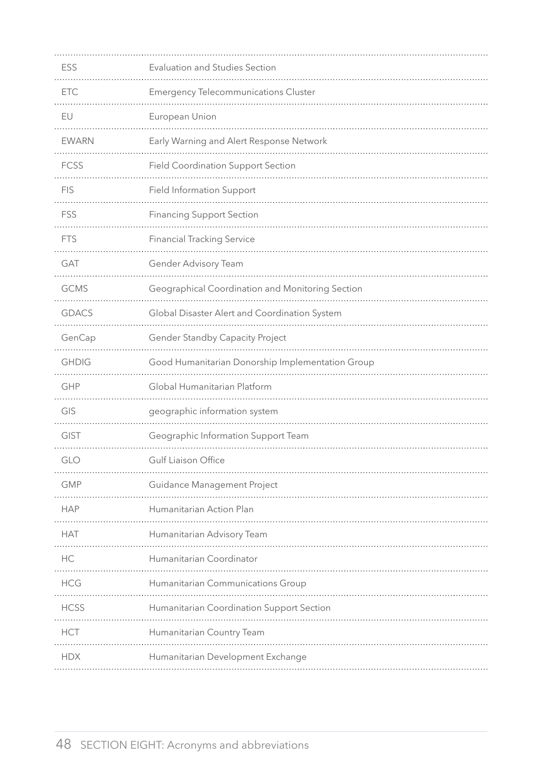<span id="page-49-0"></span>

| ESS          | Evaluation and Studies Section                   |
|--------------|--------------------------------------------------|
| <b>ETC</b>   | <b>Emergency Telecommunications Cluster</b>      |
| EU           | European Union                                   |
| <b>EWARN</b> | Early Warning and Alert Response Network         |
| <b>FCSS</b>  | <b>Field Coordination Support Section</b>        |
| <b>FIS</b>   | <b>Field Information Support</b>                 |
| FSS          | <b>Financing Support Section</b>                 |
| <b>FTS</b>   | <b>Financial Tracking Service</b>                |
| GAT          | Gender Advisory Team                             |
| <b>GCMS</b>  | Geographical Coordination and Monitoring Section |
| <b>GDACS</b> | Global Disaster Alert and Coordination System    |
| GenCap       | <b>Gender Standby Capacity Project</b>           |
| <b>GHDIG</b> | Good Humanitarian Donorship Implementation Group |
| GHP          | Global Humanitarian Platform                     |
| GIS          | geographic information system                    |
| GIST         | Geographic Information Support Team              |
| GLO          | Gulf Liaison Office                              |
| <b>GMP</b>   | Guidance Management Project                      |
| <b>HAP</b>   | Humanitarian Action Plan                         |
| <b>HAT</b>   | Humanitarian Advisory Team                       |
| HC           | Humanitarian Coordinator                         |
| <b>HCG</b>   | Humanitarian Communications Group                |
| <b>HCSS</b>  | Humanitarian Coordination Support Section        |
| <b>HCT</b>   | Humanitarian Country Team                        |
| <b>HDX</b>   | Humanitarian Development Exchange                |
|              |                                                  |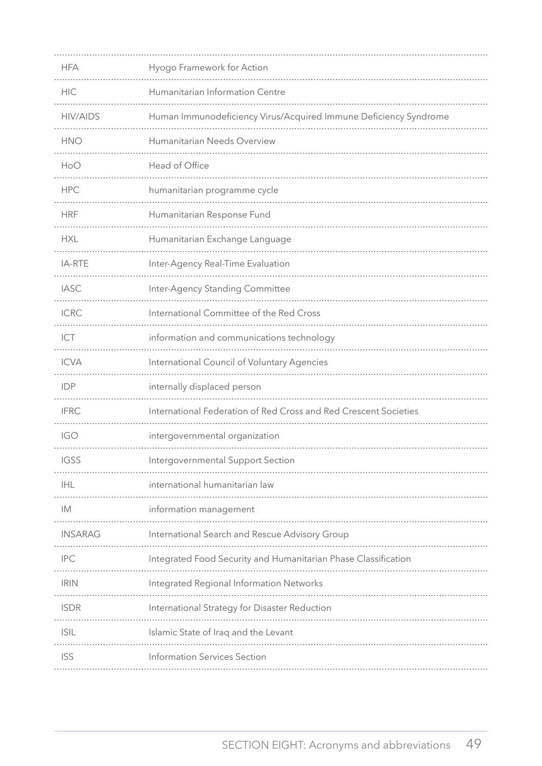<span id="page-50-0"></span>

| <b>HFA</b>      | Hyogo Framework for Action                                       |
|-----------------|------------------------------------------------------------------|
| <b>HIC</b>      | Humanitarian Information Centre                                  |
| <b>HIV/AIDS</b> | Human Immunodeficiency Virus/Acquired Immune Deficiency Syndrome |
| <b>HNO</b>      | Humanitarian Needs Overview                                      |
| HoO             | Head of Office                                                   |
| <b>HPC</b>      | humanitarian programme cycle                                     |
| <b>HRF</b>      | Humanitarian Response Fund                                       |
| <b>HXL</b>      | Humanitarian Exchange Language                                   |
| IA-RTE          | Inter-Agency Real-Time Evaluation                                |
| <b>IASC</b>     | Inter-Agency Standing Committee                                  |
| <b>ICRC</b>     | International Committee of the Red Cross                         |
| ICT             | information and communications technology                        |
| <b>ICVA</b>     | International Council of Voluntary Agencies                      |
| <b>IDP</b>      | internally displaced person                                      |
| <b>IFRC</b>     | International Federation of Red Cross and Red Crescent Societies |
| <b>IGO</b>      | intergovernmental organization                                   |
| <b>IGSS</b>     | Intergovernmental Support Section                                |
| <b>IHL</b>      | international humanitarian law                                   |
| IM              | information management                                           |
| <b>INSARAG</b>  | International Search and Rescue Advisory Group                   |
| <b>IPC</b>      | Integrated Food Security and Humanitarian Phase Classification   |
| <b>IRIN</b>     | Integrated Regional Information Networks                         |
| <b>ISDR</b>     | International Strategy for Disaster Reduction                    |
| <b>ISIL</b>     | Islamic State of Iraq and the Levant                             |
| <b>ISS</b>      | Information Services Section                                     |
|                 |                                                                  |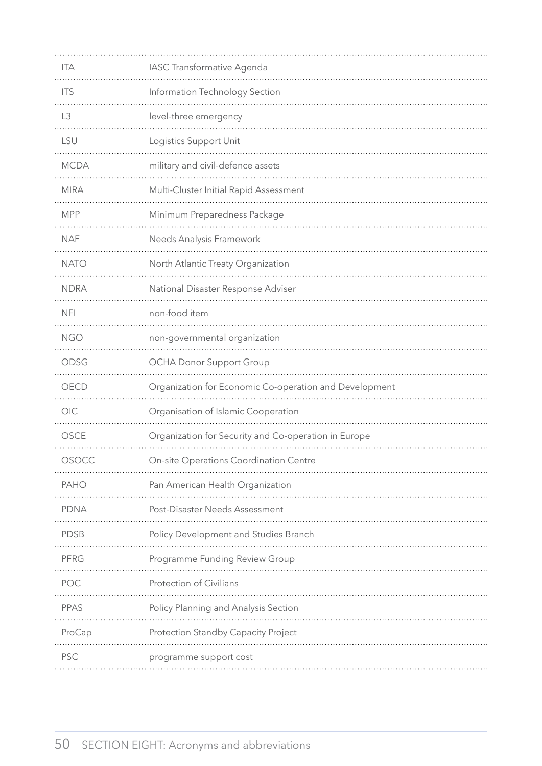<span id="page-51-0"></span>

| <b>ITA</b>     | IASC Transformative Agenda                             |
|----------------|--------------------------------------------------------|
| <b>ITS</b>     | Information Technology Section                         |
| L <sub>3</sub> | level-three emergency                                  |
| LSU            | Logistics Support Unit                                 |
| <b>MCDA</b>    | military and civil-defence assets                      |
| <b>MIRA</b>    | Multi-Cluster Initial Rapid Assessment                 |
| <b>MPP</b>     | Minimum Preparedness Package                           |
| <b>NAF</b>     | Needs Analysis Framework                               |
| <b>NATO</b>    | North Atlantic Treaty Organization                     |
| <b>NDRA</b>    | National Disaster Response Adviser                     |
| <b>NFI</b>     | non-food item                                          |
| <b>NGO</b>     | non-governmental organization                          |
| ODSG           | <b>OCHA Donor Support Group</b>                        |
| OECD           | Organization for Economic Co-operation and Development |
| OIC            | Organisation of Islamic Cooperation                    |
| OSCE           | Organization for Security and Co-operation in Europe   |
| OSOCC          | On-site Operations Coordination Centre                 |
| <b>PAHO</b>    | Pan American Health Organization                       |
| <b>PDNA</b>    | Post-Disaster Needs Assessment                         |
| <b>PDSB</b>    | Policy Development and Studies Branch                  |
| PFRG           | Programme Funding Review Group                         |
| POC            | Protection of Civilians                                |
| <b>PPAS</b>    | Policy Planning and Analysis Section                   |
| ProCap         | Protection Standby Capacity Project                    |
| <b>PSC</b>     | programme support cost                                 |
|                |                                                        |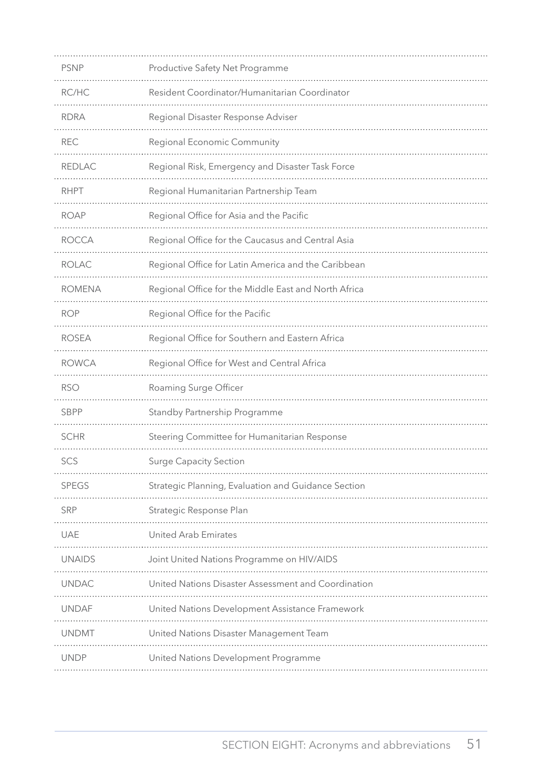<span id="page-52-0"></span>

| <b>PSNP</b>   | Productive Safety Net Programme                      |
|---------------|------------------------------------------------------|
| RC/HC         | Resident Coordinator/Humanitarian Coordinator        |
| <b>RDRA</b>   | Regional Disaster Response Adviser                   |
| <b>REC</b>    | Regional Economic Community                          |
| <b>REDLAC</b> | Regional Risk, Emergency and Disaster Task Force     |
| <b>RHPT</b>   | Regional Humanitarian Partnership Team               |
| <b>ROAP</b>   | Regional Office for Asia and the Pacific             |
| <b>ROCCA</b>  | Regional Office for the Caucasus and Central Asia    |
| <b>ROLAC</b>  | Regional Office for Latin America and the Caribbean  |
| <b>ROMENA</b> | Regional Office for the Middle East and North Africa |
| ROP           | Regional Office for the Pacific                      |
| <b>ROSEA</b>  | Regional Office for Southern and Eastern Africa      |
| <b>ROWCA</b>  | Regional Office for West and Central Africa          |
| <b>RSO</b>    | Roaming Surge Officer                                |
| <b>SBPP</b>   | Standby Partnership Programme                        |
| <b>SCHR</b>   | Steering Committee for Humanitarian Response         |
| SCS           | <b>Surge Capacity Section</b>                        |
| <b>SPEGS</b>  | Strategic Planning, Evaluation and Guidance Section  |
| SRP           | Strategic Response Plan                              |
| <b>UAE</b>    | United Arab Emirates                                 |
| <b>UNAIDS</b> | Joint United Nations Programme on HIV/AIDS           |
| <b>UNDAC</b>  | United Nations Disaster Assessment and Coordination  |
| <b>UNDAF</b>  | United Nations Development Assistance Framework      |
| <b>UNDMT</b>  | United Nations Disaster Management Team              |
| <b>UNDP</b>   | United Nations Development Programme                 |
|               |                                                      |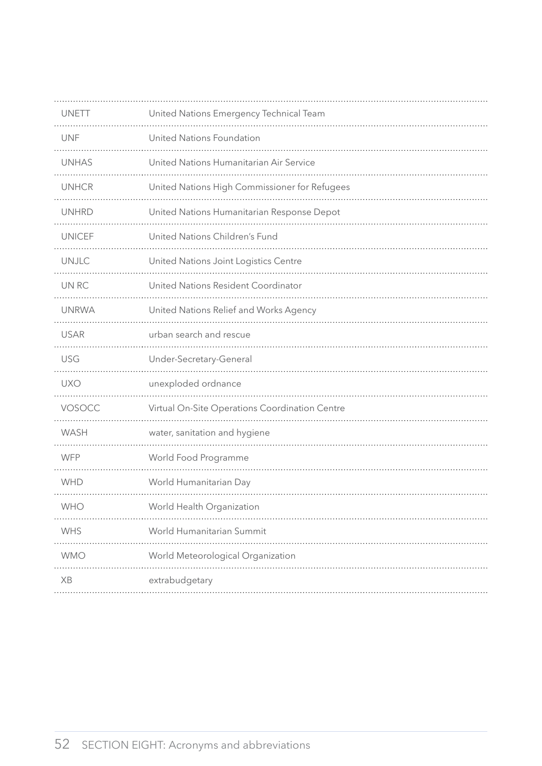<span id="page-53-0"></span>

| <b>UNETT</b>  | United Nations Emergency Technical Team        |
|---------------|------------------------------------------------|
| <b>UNF</b>    | United Nations Foundation                      |
| <b>UNHAS</b>  | United Nations Humanitarian Air Service        |
| <b>UNHCR</b>  | United Nations High Commissioner for Refugees  |
| <b>UNHRD</b>  | United Nations Humanitarian Response Depot     |
| <b>UNICEF</b> | United Nations Children's Fund                 |
| <b>UNJLC</b>  | United Nations Joint Logistics Centre          |
| UN RC         | United Nations Resident Coordinator            |
| <b>UNRWA</b>  | United Nations Relief and Works Agency         |
| <b>USAR</b>   | urban search and rescue                        |
| <b>USG</b>    | Under-Secretary-General                        |
| <b>UXO</b>    | unexploded ordnance                            |
| VOSOCC        | Virtual On-Site Operations Coordination Centre |
| WASH          | water, sanitation and hygiene                  |
| <b>WFP</b>    | World Food Programme                           |
| <b>WHD</b>    | World Humanitarian Day                         |
| WHO           | World Health Organization                      |
| WHS           | World Humanitarian Summit                      |
| <b>WMO</b>    | World Meteorological Organization              |
| XB            | extrabudgetary                                 |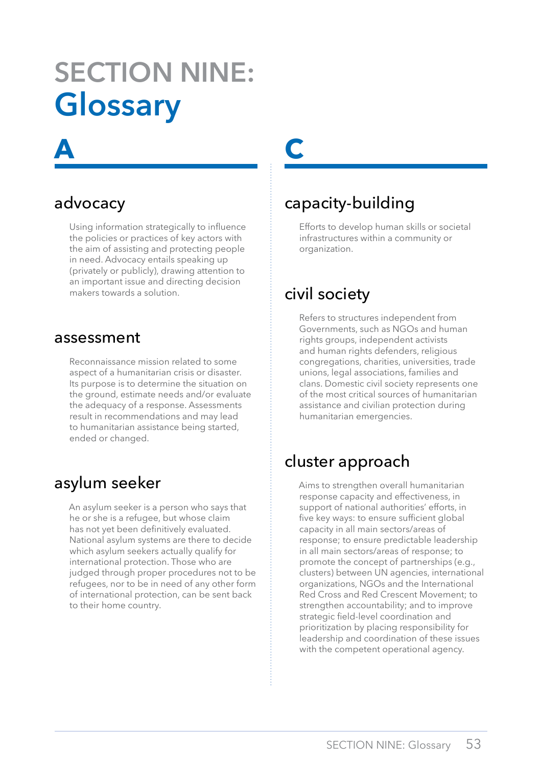# <span id="page-54-0"></span>**Section nine: Glossary**

# advocacy

**a**

Using information strategically to influence the policies or practices of key actors with the aim of assisting and protecting people in need. Advocacy entails speaking up (privately or publicly), drawing attention to an important issue and directing decision makers towards a solution.

#### assessment

Reconnaissance mission related to some aspect of a humanitarian crisis or disaster. Its purpose is to determine the situation on the ground, estimate needs and/or evaluate the adequacy of a response. Assessments result in recommendations and may lead to humanitarian assistance being started, ended or changed.

#### asylum seeker

An asylum seeker is a person who says that he or she is a refugee, but whose claim has not yet been definitively evaluated. National asylum systems are there to decide which asylum seekers actually qualify for international protection. Those who are judged through proper procedures not to be refugees, nor to be in need of any other form of international protection, can be sent back to their home country.

# **c**

# capacity-building

Efforts to develop human skills or societal infrastructures within a community or organization.

# civil society

Refers to structures independent from Governments, such as NGOs and human rights groups, independent activists and human rights defenders, religious congregations, charities, universities, trade unions, legal associations, families and clans. Domestic civil society represents one of the most critical sources of humanitarian assistance and civilian protection during humanitarian emergencies.

# cluster approach

Aims to strengthen overall humanitarian response capacity and effectiveness, in support of national authorities' efforts, in five key ways: to ensure sufficient global capacity in all main sectors/areas of response; to ensure predictable leadership in all main sectors/areas of response; to promote the concept of partnerships (e.g., clusters) between UN agencies, international organizations, NGOs and the International Red Cross and Red Crescent Movement; to strengthen accountability; and to improve strategic field-level coordination and prioritization by placing responsibility for leadership and coordination of these issues with the competent operational agency.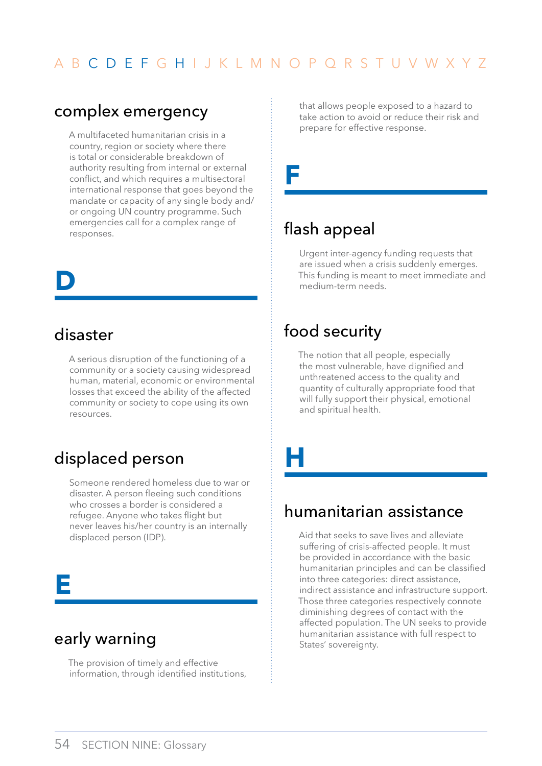### <span id="page-55-0"></span>complex emergency

A multifaceted humanitarian crisis in a country, region or society where there is total or considerable breakdown of authority resulting from internal or external conflict, and which requires a multisectoral international response that goes beyond the mandate or capacity of any single body and/ or ongoing UN country programme. Such emergencies call for a complex range of responses.

# **d**

# disaster

A serious disruption of the functioning of a community or a society causing widespread human, material, economic or environmental losses that exceed the ability of the affected community or society to cope using its own resources.

# displaced person

Someone rendered homeless due to war or disaster. A person fleeing such conditions who crosses a border is considered a refugee. Anyone who takes flight but never leaves his/her country is an internally displaced person (IDP).

# **E**

# early warning

The provision of timely and effective information, through identified institutions, that allows people exposed to a hazard to take action to avoid or reduce their risk and prepare for effective response.

# **F**

# flash appeal

Urgent inter-agency funding requests that are issued when a crisis suddenly emerges. This funding is meant to meet immediate and medium-term needs.

# food security

The notion that all people, especially the most vulnerable, have dignified and unthreatened access to the quality and quantity of culturally appropriate food that will fully support their physical, emotional and spiritual health.

**h**

# humanitarian assistance

Aid that seeks to save lives and alleviate suffering of crisis-affected people. It must be provided in accordance with the basic humanitarian principles and can be classified into three categories: direct assistance, indirect assistance and infrastructure support. Those three categories respectively connote diminishing degrees of contact with the affected population. The UN seeks to provide humanitarian assistance with full respect to States' sovereignty.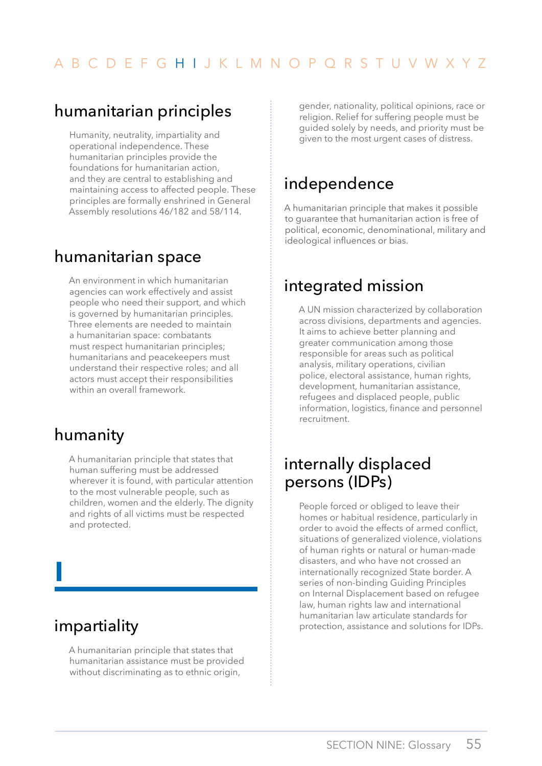# <span id="page-56-0"></span>humanitarian principles

Humanity, neutrality, impartiality and operational independence. These humanitarian principles provide the foundations for humanitarian action, and they are central to establishing and maintaining access to affected people. These principles are formally enshrined in General Assembly resolutions 46/182 and 58/114.

# humanitarian space

An environment in which humanitarian agencies can work effectively and assist people who need their support, and which is governed by humanitarian principles. Three elements are needed to maintain a humanitarian space: combatants must respect humanitarian principles; humanitarians and peacekeepers must understand their respective roles; and all actors must accept their responsibilities within an overall framework.

# humanity

A humanitarian principle that states that human suffering must be addressed wherever it is found, with particular attention to the most vulnerable people, such as children, women and the elderly. The dignity and rights of all victims must be respected and protected.

# impartiality

**i**

A humanitarian principle that states that humanitarian assistance must be provided without discriminating as to ethnic origin,

gender, nationality, political opinions, race or religion. Relief for suffering people must be guided solely by needs, and priority must be given to the most urgent cases of distress.

# independence

A humanitarian principle that makes it possible to guarantee that humanitarian action is free of political, economic, denominational, military and ideological influences or bias.

# integrated mission

A UN mission characterized by collaboration across divisions, departments and agencies. It aims to achieve better planning and greater communication among those responsible for areas such as political analysis, military operations, civilian police, electoral assistance, human rights, development, humanitarian assistance, refugees and displaced people, public information, logistics, finance and personnel recruitment.

# internally displaced persons (IDPs)

People forced or obliged to leave their homes or habitual residence, particularly in order to avoid the effects of armed conflict, situations of generalized violence, violations of human rights or natural or human-made disasters, and who have not crossed an internationally recognized State border. A series of non-binding Guiding Principles on Internal Displacement based on refugee law, human rights law and international humanitarian law articulate standards for protection, assistance and solutions for IDPs.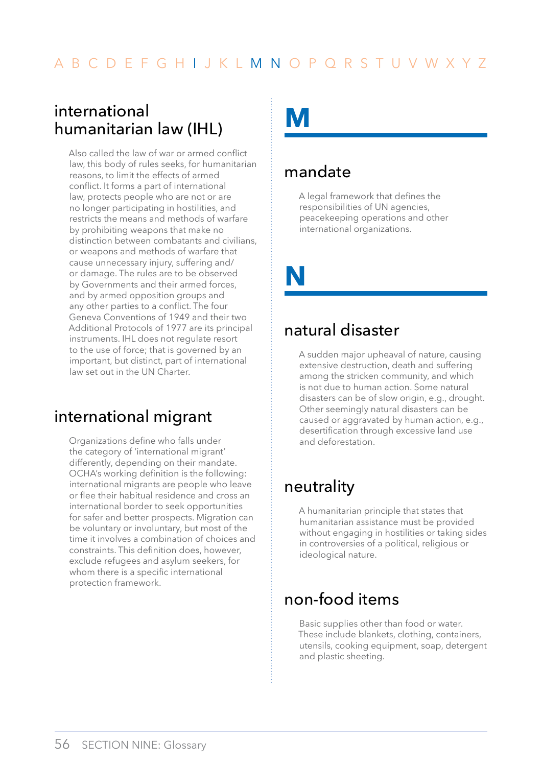# <span id="page-57-0"></span>international humanitarian law (IHL)

Also called the law of war or armed conflict law, this body of rules seeks, for humanitarian reasons, to limit the effects of armed conflict. It forms a part of international law, protects people who are not or are no longer participating in hostilities, and restricts the means and methods of warfare by prohibiting weapons that make no distinction between combatants and civilians, or weapons and methods of warfare that cause unnecessary injury, suffering and/ or damage. The rules are to be observed by Governments and their armed forces, and by armed opposition groups and any other parties to a conflict. The four Geneva Conventions of 1949 and their two Additional Protocols of 1977 are its principal instruments. IHL does not regulate resort to the use of force; that is governed by an important, but distinct, part of international law set out in the UN Charter.

# international migrant

Organizations define who falls under the category of 'international migrant' differently, depending on their mandate. OCHA's working definition is the following: international migrants are people who leave or flee their habitual residence and cross an international border to seek opportunities for safer and better prospects. Migration can be voluntary or involuntary, but most of the time it involves a combination of choices and constraints. This definition does, however, exclude refugees and asylum seekers, for whom there is a specific international protection framework.

# **m**

# mandate

A legal framework that defines the responsibilities of UN agencies, peacekeeping operations and other international organizations.

**n**

# natural disaster

A sudden major upheaval of nature, causing extensive destruction, death and suffering among the stricken community, and which is not due to human action. Some natural disasters can be of slow origin, e.g., drought. Other seemingly natural disasters can be caused or aggravated by human action, e.g., desertification through excessive land use and deforestation.

# neutrality

A humanitarian principle that states that humanitarian assistance must be provided without engaging in hostilities or taking sides in controversies of a political, religious or ideological nature.

# non-food items

Basic supplies other than food or water. These include blankets, clothing, containers, utensils, cooking equipment, soap, detergent and plastic sheeting.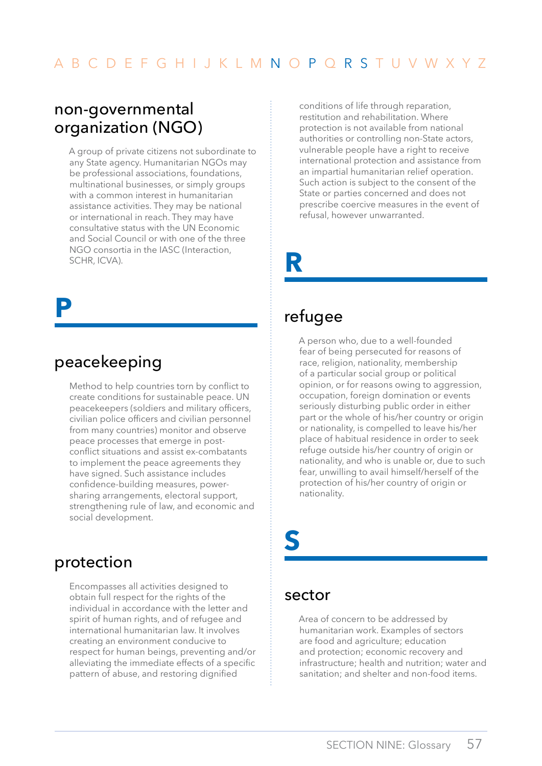#### <span id="page-58-0"></span>non-governmental organization (NGO)

A group of private citizens not subordinate to any State agency. Humanitarian NGOs may be professional associations, foundations, multinational businesses, or simply groups with a common interest in humanitarian assistance activities. They may be national or international in reach. They may have consultative status with the UN Economic and Social Council or with one of the three NGO consortia in the IASC (Interaction, SCHR, ICVA).

**p**

# peacekeeping

Method to help countries torn by conflict to create conditions for sustainable peace. UN peacekeepers (soldiers and military officers, civilian police officers and civilian personnel from many countries) monitor and observe peace processes that emerge in postconflict situations and assist ex-combatants to implement the peace agreements they have signed. Such assistance includes confidence-building measures, powersharing arrangements, electoral support, strengthening rule of law, and economic and social development.

#### protection

Encompasses all activities designed to obtain full respect for the rights of the individual in accordance with the letter and spirit of human rights, and of refugee and international humanitarian law. It involves creating an environment conducive to respect for human beings, preventing and/or alleviating the immediate effects of a specific pattern of abuse, and restoring dignified

conditions of life through reparation, restitution and rehabilitation. Where protection is not available from national authorities or controlling non-State actors, vulnerable people have a right to receive international protection and assistance from an impartial humanitarian relief operation. Such action is subject to the consent of the State or parties concerned and does not prescribe coercive measures in the event of refusal, however unwarranted.

**r**

### refugee

A person who, due to a well-founded fear of being persecuted for reasons of race, religion, nationality, membership of a particular social group or political opinion, or for reasons owing to aggression, occupation, foreign domination or events seriously disturbing public order in either part or the whole of his/her country or origin or nationality, is compelled to leave his/her place of habitual residence in order to seek refuge outside his/her country of origin or nationality, and who is unable or, due to such fear, unwilling to avail himself/herself of the protection of his/her country of origin or nationality.

# **s**

#### sector

Area of concern to be addressed by humanitarian work. Examples of sectors are food and agriculture; education and protection; economic recovery and infrastructure; health and nutrition; water and sanitation; and shelter and non-food items.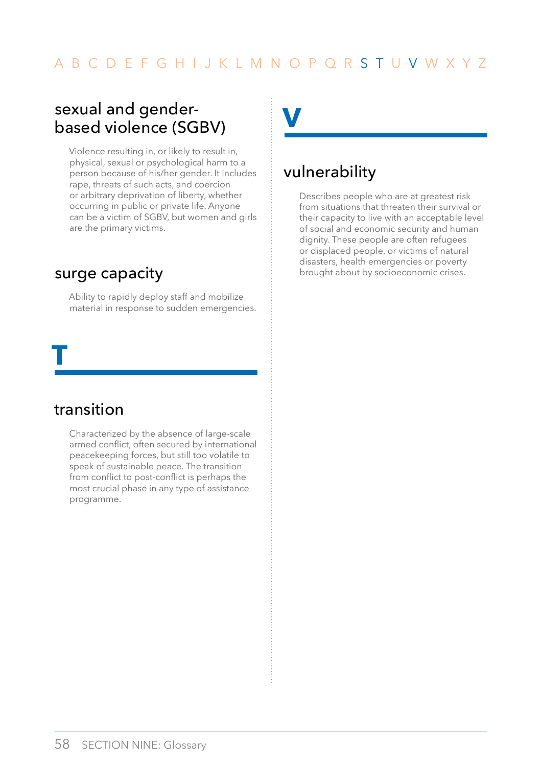### <span id="page-59-0"></span>sexual and genderbased violence (SGBV)

Violence resulting in, or likely to result in, physical, sexual or psychological harm to a person because of his/her gender. It includes rape, threats of such acts, and coercion or arbitrary deprivation of liberty, whether occurring in public or private life. Anyone can be a victim of SGBV, but women and girls are the primary victims.

#### surge capacity

Ability to rapidly deploy staff and mobilize material in response to sudden emergencies.

# transition

**t**

Characterized by the absence of large-scale armed conflict, often secured by international peacekeeping forces, but still too volatile to speak of sustainable peace. The transition from conflict to post-conflict is perhaps the most crucial phase in any type of assistance programme.

**v**

### vulnerability

Describes people who are at greatest risk from situations that threaten their survival or their capacity to live with an acceptable level of social and economic security and human dignity. These people are often refugees or displaced people, or victims of natural disasters, health emergencies or poverty brought about by socioeconomic crises.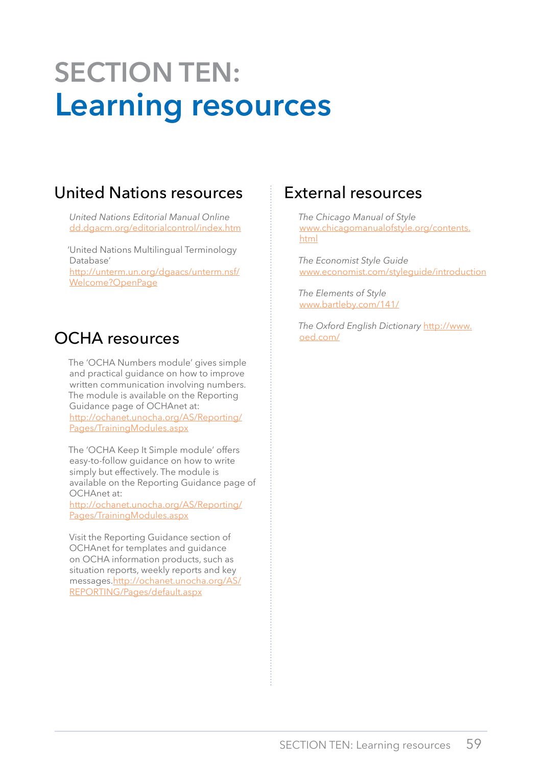# <span id="page-60-0"></span>**SECTION TEN: Learning resources**

# United Nations resources

*United Nations Editorial Manual Online* <dd.dgacm.org/editorialcontrol/index.htm>

'United Nations Multilingual Terminology Database' [http://unterm.un.org/dgaacs/unterm.nsf/](http://unterm.un.org/dgaacs/unterm.nsf/Welcome?OpenPage) [Welcome?OpenPage](http://unterm.un.org/dgaacs/unterm.nsf/Welcome?OpenPage)

# OCHA resources

The 'OCHA Numbers module' gives simple and practical guidance on how to improve written communication involving numbers. The module is available on the Reporting Guidance page of OCHAnet at: [http://ochanet.unocha.org/AS/Reporting/](http://ochanet.unocha.org/AS/Reporting/Pages/TrainingModules.aspx) [Pages/TrainingModules.aspx](http://ochanet.unocha.org/AS/Reporting/Pages/TrainingModules.aspx)

The 'OCHA Keep It Simple module' offers easy-to-follow guidance on how to write simply but effectively. The module is available on the Reporting Guidance page of OCHAnet at:

[http://ochanet.unocha.org/AS/Reporting/](http://ochanet.unocha.org/AS/Reporting/Pages/TrainingModules.aspx) [Pages/TrainingModules.aspx](http://ochanet.unocha.org/AS/Reporting/Pages/TrainingModules.aspx)

Visit the Reporting Guidance section of OCHAnet for templates and guidance on OCHA information products, such as situation reports, weekly reports and key messages[.http://ochanet.unocha.org/AS/](http://ochanet.unocha.org/AS/REPORTING/Pages/default.aspx) [REPORTING/Pages/default.aspx](http://ochanet.unocha.org/AS/REPORTING/Pages/default.aspx)

### External resources

*The Chicago Manual of Style* [www.chicagomanualofstyle.org/contents.](www.chicagomanualofstyle.org/contents.html) [html](www.chicagomanualofstyle.org/contents.html)

*The Economist Style Guide* [www.economist.com/styleguide](www.economist.com/research/styleguide)/introduction

*The Elements of Style* <www.bartleby.com/141/>

*The Oxford English Dictionary* [http://www.](http://www.oed.com/) [oed.com/](http://www.oed.com/)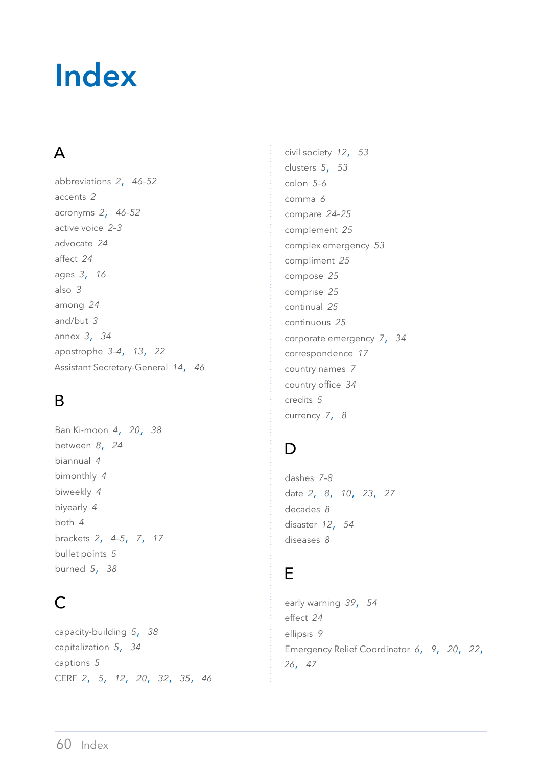# <span id="page-61-0"></span>**Index**

# A

abbreviations *[2](#page-3-0)*, *[46–](#page-47-0)[52](#page-53-0)* accents *[2](#page-3-0)* acronyms *[2](#page-3-0)*, *[46–](#page-47-0)[52](#page-53-0)* active voice *[2](#page-3-0)[–3](#page-4-0)* advocate *[24](#page-25-0)* affect *[24](#page-25-0)* ages *[3](#page-4-0)*, *[16](#page-17-0)* also *[3](#page-4-0)* among *[24](#page-25-0)* and/but *[3](#page-4-0)* annex *[3](#page-4-0)*, *[34](#page-35-0)* apostrophe *[3–](#page-4-0)[4](#page-5-0)*, *[13](#page-14-0)*, *[22](#page-23-0)* Assistant Secretary-General *[14](#page-15-0)*, *[46](#page-47-0)*

# B

Ban Ki-moon *[4](#page-5-0)*, *[20](#page-21-0)*, *[38](#page-39-0)* between *[8](#page-9-0)*, *[24](#page-25-0)* biannual *[4](#page-5-0)* bimonthly *[4](#page-5-0)* biweekly *[4](#page-5-0)* biyearly *[4](#page-5-0)* both *[4](#page-5-0)* brackets *[2](#page-3-0)*, *[4–](#page-5-0)[5](#page-6-0)*, *[7](#page-8-0)*, *[17](#page-18-0)* bullet points *[5](#page-6-0)* burned *[5](#page-6-0)*, *[38](#page-39-0)*

# $\mathsf{C}$

capacity-building *[5](#page-6-0)*, *[38](#page-39-0)* capitalization *[5](#page-6-0)*, *[34](#page-35-0)* captions *[5](#page-6-0)* CERF *[2](#page-3-0)*, *[5](#page-6-0)*, *[12](#page-13-0)*, *[20](#page-21-0)*, *[32](#page-33-0)*, *[35](#page-36-0)*, *[46](#page-47-0)* civil society *[12](#page-13-0)*, *[53](#page-54-0)* clusters *[5](#page-6-0)*, *[53](#page-54-0)* colon *[5](#page-6-0)[–6](#page-7-0)* comma *[6](#page-7-0)* compare *[24](#page-25-0)[–25](#page-26-0)* complement *[25](#page-26-0)* complex emergency *[53](#page-54-0)* compliment *[25](#page-26-0)* compose *[25](#page-26-0)* comprise *[25](#page-26-0)* continual *[25](#page-26-0)* continuous *[25](#page-26-0)* corporate emergency *[7](#page-8-0)*, *[34](#page-35-0)* correspondence *[17](#page-18-0)* country names *[7](#page-8-0)* country office *[34](#page-35-0)* credits *[5](#page-6-0)* currency *[7](#page-8-0)*, *[8](#page-9-0)*

# D

dashes *[7–](#page-8-0)[8](#page-9-0)* date *[2](#page-3-0)*, *[8](#page-9-0)*, *[10](#page-11-0)*, *[23](#page-24-0)*, *[27](#page-28-0)* decades *[8](#page-9-0)* disaster *[12](#page-13-0)*, *[54](#page-55-0)* diseases *[8](#page-9-0)*

#### E

early warning *[39](#page-40-0)*, *[54](#page-55-0)* effect *[24](#page-25-0)* ellipsis *[9](#page-10-0)* Emergency Relief Coordinator *[6](#page-7-0)*, *[9](#page-10-0)*, *[20](#page-21-0)*, *[22](#page-23-0)*, *[26](#page-27-0)*, *[47](#page-48-0)*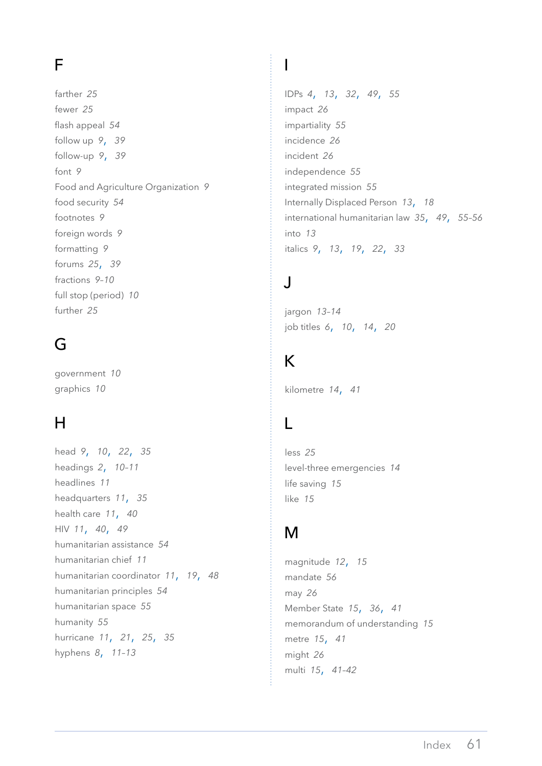# F

farther *[25](#page-26-0)* fewer *[25](#page-26-0)* flash appeal *[54](#page-55-0)* follow up *[9](#page-10-0)*, *[39](#page-40-0)* follow-up *[9](#page-10-0)*, *[39](#page-40-0)* font *[9](#page-10-0)* Food and Agriculture Organization *[9](#page-10-0)* food security *[54](#page-55-0)* footnotes *[9](#page-10-0)* foreign words *[9](#page-10-0)* formatting *[9](#page-10-0)* forums *[25](#page-26-0)*, *[39](#page-40-0)* fractions *[9–](#page-10-0)[10](#page-11-0)* full stop (period) *[10](#page-11-0)* further *[25](#page-26-0)*

# G

government *[10](#page-11-0)* graphics *[10](#page-11-0)*

# H

head *[9](#page-10-0)*, *[10](#page-11-0)*, *[22](#page-23-0)*, *[35](#page-36-0)* headings *[2](#page-3-0)*, *[10](#page-11-0)[–11](#page-12-0)* headlines *[11](#page-12-0)* headquarters *[11](#page-12-0)*, *[35](#page-36-0)* health care *[11](#page-12-0)*, *[40](#page-41-0)* HIV *[11](#page-12-0)*, *[40](#page-41-0)*, *[49](#page-50-0)* humanitarian assistance *[54](#page-55-0)* humanitarian chief *[11](#page-12-0)* humanitarian coordinator *[11](#page-12-0)*, *[19](#page-20-0)*, *[48](#page-49-0)* humanitarian principles *[54](#page-55-0)* humanitarian space *[55](#page-56-0)* humanity *[55](#page-56-0)* hurricane *[11](#page-12-0)*, *[21](#page-22-0)*, *[25](#page-26-0)*, *[35](#page-36-0)* hyphens *[8](#page-9-0)*, *[11–](#page-12-0)[13](#page-14-0)*

# I

IDPs *[4](#page-5-0)*, *[13](#page-14-0)*, *[32](#page-33-0)*, *[49](#page-50-0)*, *[55](#page-56-0)* impact *[26](#page-27-0)* impartiality *[55](#page-56-0)* incidence *[26](#page-27-0)* incident *[26](#page-27-0)* independence *[55](#page-56-0)* integrated mission *[55](#page-56-0)* Internally Displaced Person *[13](#page-14-0)*, *[18](#page-19-0)* international humanitarian law *[35](#page-36-0)*, *[49](#page-50-0)*, *[55–](#page-56-0)[56](#page-57-0)* into *[13](#page-14-0)* italics *[9](#page-10-0)*, *[13](#page-14-0)*, *[19](#page-20-0)*, *[22](#page-23-0)*, *[33](#page-34-0)*

# J

jargon *[13](#page-14-0)[–14](#page-15-0)* job titles *[6](#page-7-0)*, *[10](#page-11-0)*, *[14](#page-15-0)*, *[20](#page-21-0)*

# K

kilometre *[14](#page-15-0)*, *[41](#page-42-0)*

# L

less *[25](#page-26-0)* level-three emergencies *[14](#page-15-0)* life saving *[15](#page-16-0)* like *[15](#page-16-0)*

# M

magnitude *[12](#page-13-0)*, *[15](#page-16-0)* mandate *[56](#page-57-0)* may *[26](#page-27-0)* Member State *[15](#page-16-0)*, *[36](#page-37-0)*, *[41](#page-42-0)* memorandum of understanding *[15](#page-16-0)* metre *[15](#page-16-0)*, *[41](#page-42-0)* might *[26](#page-27-0)* multi *[15](#page-16-0)*, *[41](#page-42-0)[–42](#page-43-0)*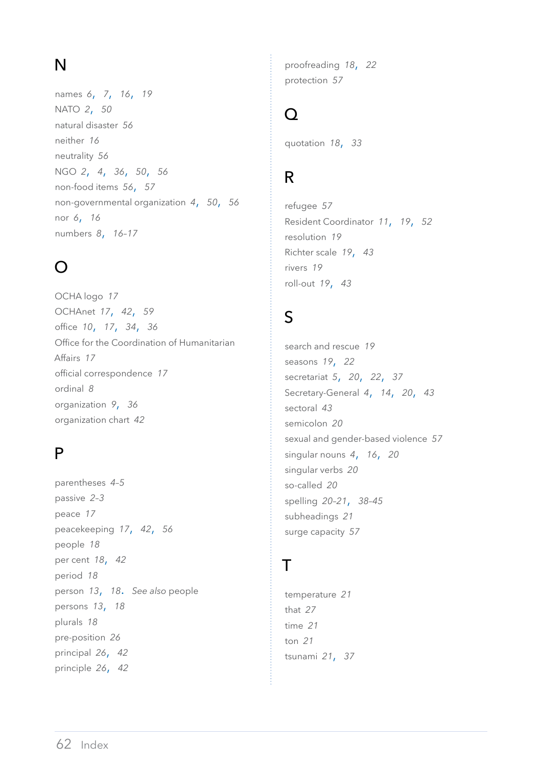# N

names *[6](#page-7-0)*, *[7](#page-8-0)*, *[16](#page-17-0)*, *[19](#page-20-0)* NATO *[2](#page-3-0)*, *[50](#page-51-0)* natural disaster *[56](#page-57-0)* neither *[16](#page-17-0)* neutrality *[56](#page-57-0)* NGO *[2](#page-3-0)*, *[4](#page-5-0)*, *[36](#page-37-0)*, *[50](#page-51-0)*, *[56](#page-57-0)* non-food items *[56](#page-57-0)*, *[57](#page-58-0)* non-governmental organization *[4](#page-5-0)*, *[50](#page-51-0)*, *[56](#page-57-0)* nor *[6](#page-7-0)*, *[16](#page-17-0)* numbers *[8](#page-9-0)*, *[16–](#page-17-0)[17](#page-18-0)*

# $\Omega$

OCHA logo *[17](#page-18-0)* OCHAnet *[17](#page-18-0)*, *[42](#page-43-0)*, *[59](#page-60-0)* office *[10](#page-11-0)*, *[17](#page-18-0)*, *[34](#page-35-0)*, *[36](#page-37-0)*  Office for the Coordination of Humanitarian Affairs *[17](#page-18-0)* official correspondence *[17](#page-18-0)* ordinal *[8](#page-9-0)* organization *[9](#page-10-0)*, *[36](#page-37-0)* organization chart *[42](#page-43-0)*

# P

parentheses *[4](#page-5-0)[–5](#page-6-0)* passive *[2–](#page-3-0)[3](#page-4-0)* peace *[17](#page-18-0)* peacekeeping *[17](#page-18-0)*, *[42](#page-43-0)*, *[56](#page-57-0)* people *[18](#page-19-0)* per cent *[18](#page-19-0)*, *[42](#page-43-0)* period *[18](#page-19-0)* person *[13](#page-14-0)*, *[18](#page-19-0)*. *See also* people persons *[13](#page-14-0)*, *[18](#page-19-0)* plurals *[18](#page-19-0)* pre-position *[26](#page-27-0)* principal *[26](#page-27-0)*, *[42](#page-43-0)* principle *[26](#page-27-0)*, *[42](#page-43-0)*

proofreading *[18](#page-19-0)*, *[22](#page-23-0)* protection *[57](#page-58-0)*

#### $\Omega$

quotation *[18](#page-19-0)*, *[33](#page-34-0)*

# R

refugee *[57](#page-58-0)* Resident Coordinator *[11](#page-12-0)*, *[19](#page-20-0)*, *[52](#page-53-0)* resolution *[19](#page-20-0)* Richter scale *[19](#page-20-0)*, *[43](#page-44-0)* rivers *[19](#page-20-0)* roll-out *[19](#page-20-0)*, *[43](#page-44-0)*

# S

search and rescue *[19](#page-20-0)* seasons *[19](#page-20-0)*, *[22](#page-23-0)* secretariat *[5](#page-6-0)*, *[20](#page-21-0)*, *[22](#page-23-0)*, *[37](#page-38-0)* Secretary-General *[4](#page-5-0)*, *[14](#page-15-0)*, *[20](#page-21-0)*, *[43](#page-44-0)* sectoral *[43](#page-44-0)* semicolon *[20](#page-21-0)* sexual and gender-based violence *[57](#page-58-0)* singular nouns *[4](#page-5-0)*, *[16](#page-17-0)*, *[20](#page-21-0)* singular verbs *[20](#page-21-0)* so-called *[20](#page-21-0)* spelling *[20–](#page-21-0)[21](#page-22-0)*, *[38](#page-39-0)[–45](#page-46-0)* subheadings *[21](#page-22-0)* surge capacity *[57](#page-58-0)*

# $\top$

temperature *[21](#page-22-0)* that *[27](#page-28-0)* time *[21](#page-22-0)* ton *[21](#page-22-0)* tsunami *[21](#page-22-0)*, *[37](#page-38-0)*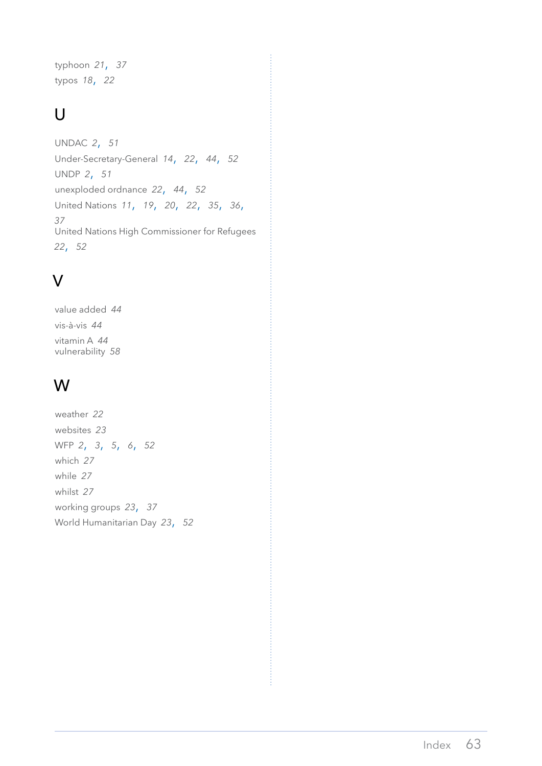typhoon *[21](#page-22-0)*, *[37](#page-38-0)* typos *[18](#page-19-0)*, *[22](#page-23-0)*

# $\overline{U}$

UNDAC *[2](#page-3-0)*, *[51](#page-52-0)* Under-Secretary-General *[14](#page-15-0)*, *[22](#page-23-0)*, *[44](#page-45-0)*, *[52](#page-53-0)* UNDP *[2](#page-3-0)*, *[51](#page-52-0)* unexploded ordnance *[22](#page-23-0)*, *[44](#page-45-0)*, *[52](#page-53-0)* United Nations *[11](#page-12-0)*, *[19](#page-20-0)*, *[20](#page-21-0)*, *[22](#page-23-0)*, *[35](#page-36-0)*, *[36](#page-37-0)*, *[37](#page-38-0)* United Nations High Commissioner for Refugees *[22](#page-23-0)*, *[52](#page-53-0)*

# V

value added *[44](#page-45-0)* vis-à-vis *[44](#page-45-0)* vitamin A *[44](#page-45-0)* vulnerability *[58](#page-59-0)*

# W

weather *[22](#page-23-0)* websites *[23](#page-24-0)* WFP *[2](#page-3-0)*, *[3](#page-4-0)*, *[5](#page-6-0)*, *[6](#page-7-0)*, *[52](#page-53-0)* which *[27](#page-28-0)* while *[27](#page-28-0)* whilst *[27](#page-28-0)* working groups *[23](#page-24-0)*, *[37](#page-38-0)* World Humanitarian Day *[23](#page-24-0)*, *[52](#page-53-0)*